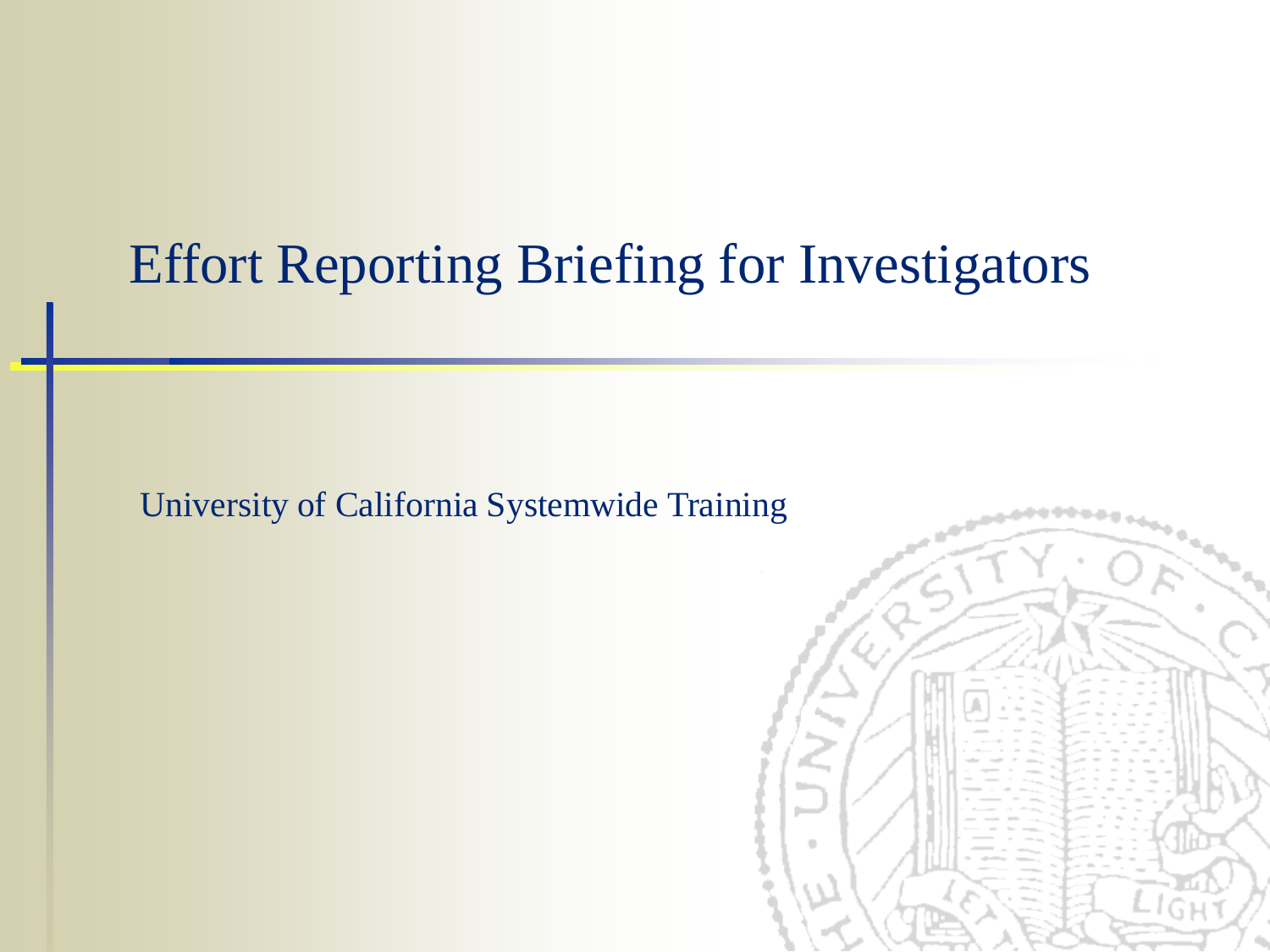### Effort Reporting Briefing for Investigators

University of California Systemwide Training

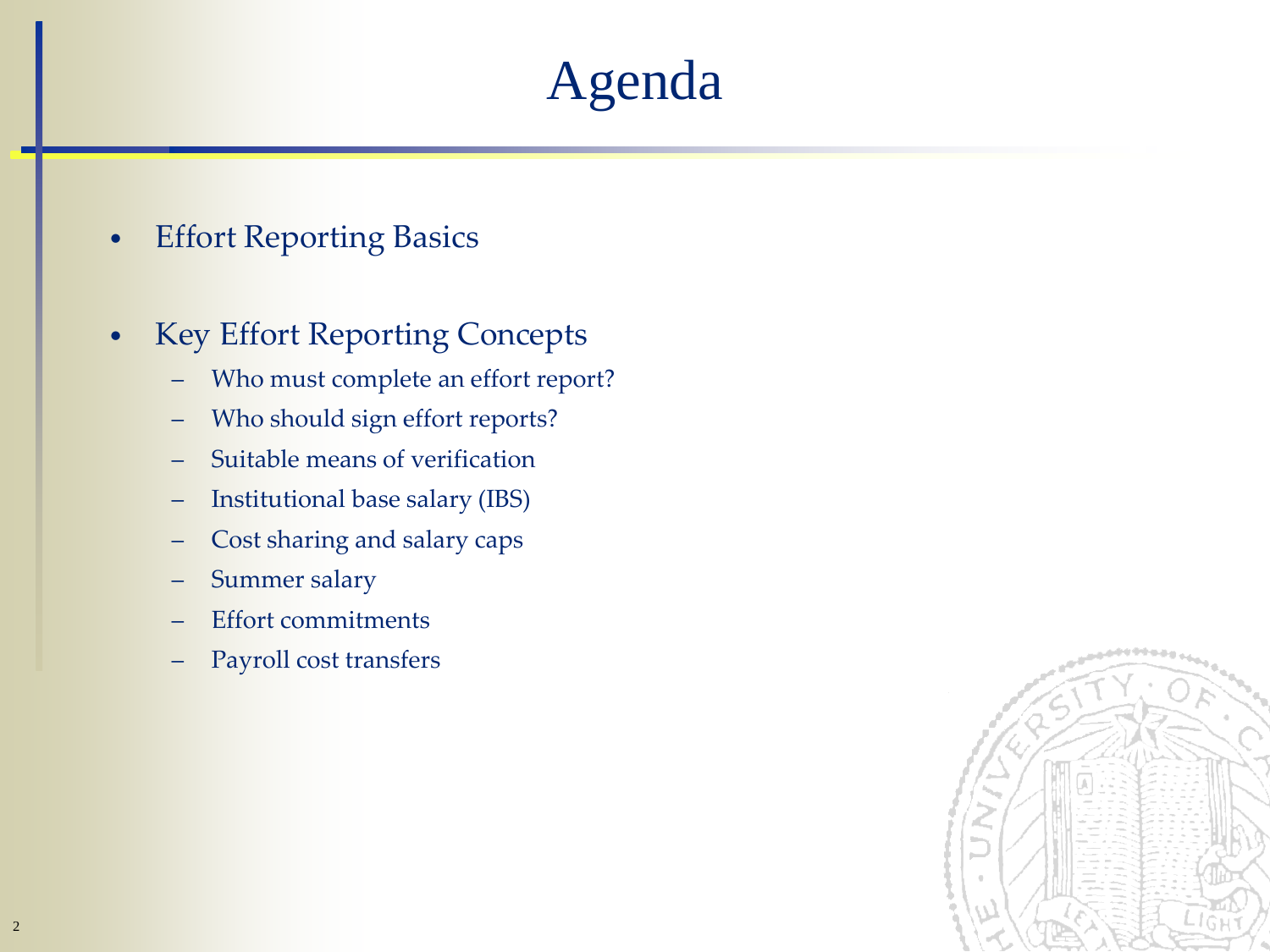## Agenda

- Effort Reporting Basics
- Key Effort Reporting Concepts
	- Who must complete an effort report?
	- Who should sign effort reports?
	- Suitable means of verification
	- Institutional base salary (IBS)
	- Cost sharing and salary caps
	- Summer salary
	- Effort commitments
	- Payroll cost transfers

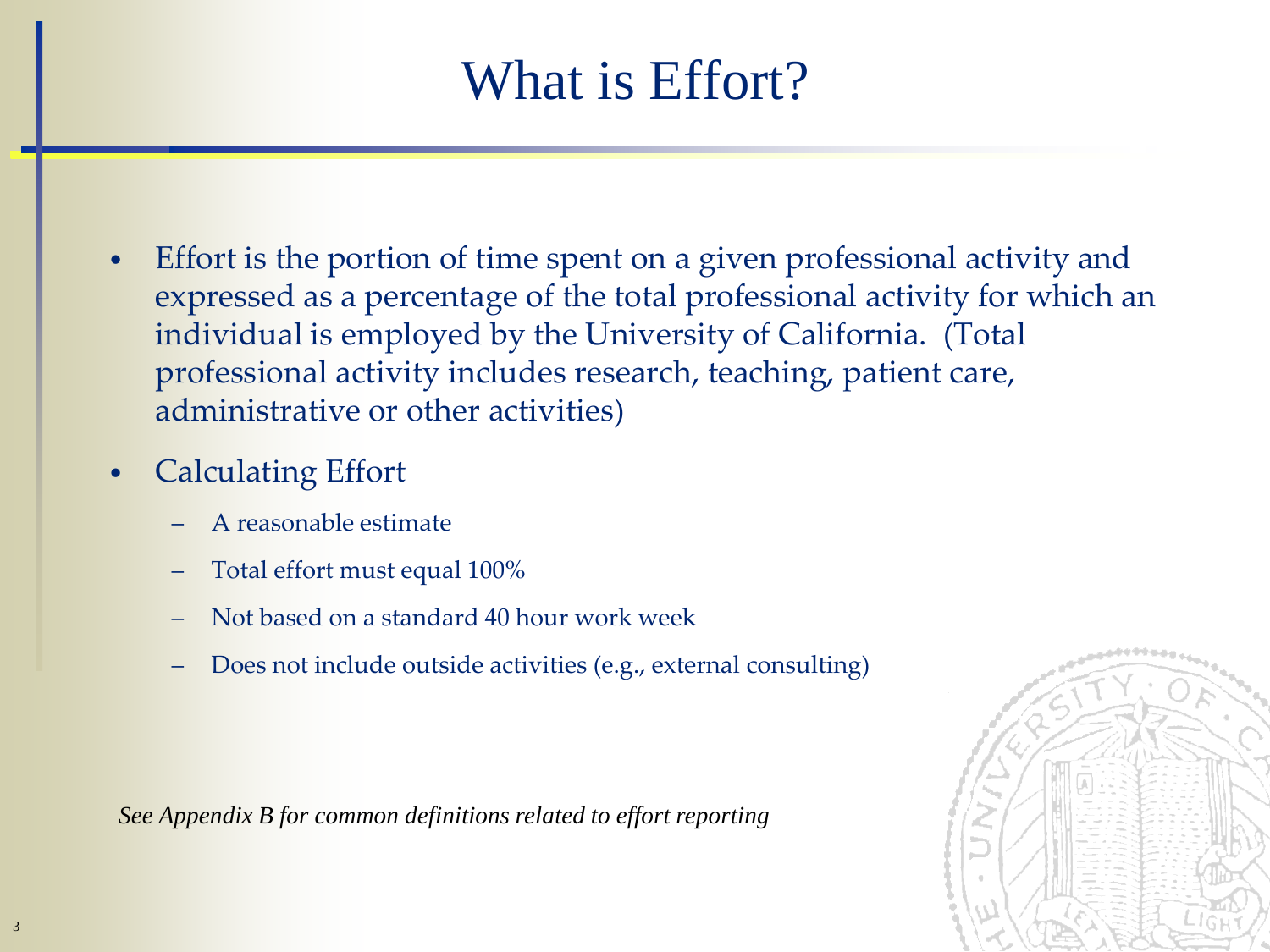## What is Effort?

- Effort is the portion of time spent on a given professional activity and expressed as a percentage of the total professional activity for which an individual is employed by the University of California. (Total professional activity includes research, teaching, patient care, administrative or other activities)
- Calculating Effort
	- A reasonable estimate
	- Total effort must equal 100%
	- Not based on a standard 40 hour work week
	- Does not include outside activities (e.g., external consulting)

*See Appendix B for common definitions related to effort reporting*

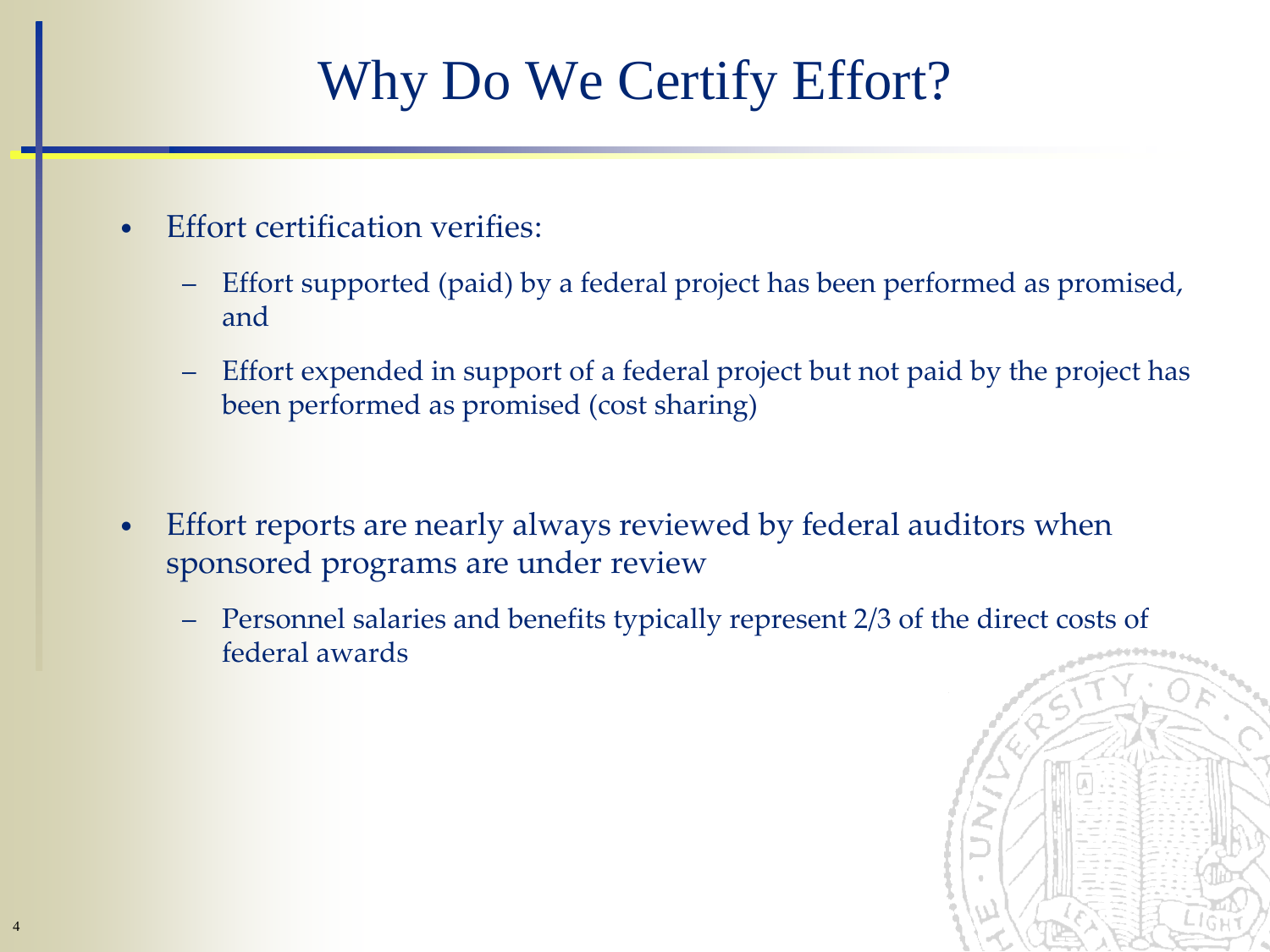# Why Do We Certify Effort?

- **Effort certification verifies:** 
	- Effort supported (paid) by a federal project has been performed as promised, and
	- Effort expended in support of a federal project but not paid by the project has been performed as promised (cost sharing)
- Effort reports are nearly always reviewed by federal auditors when sponsored programs are under review
	- Personnel salaries and benefits typically represent 2/3 of the direct costs of federal awards

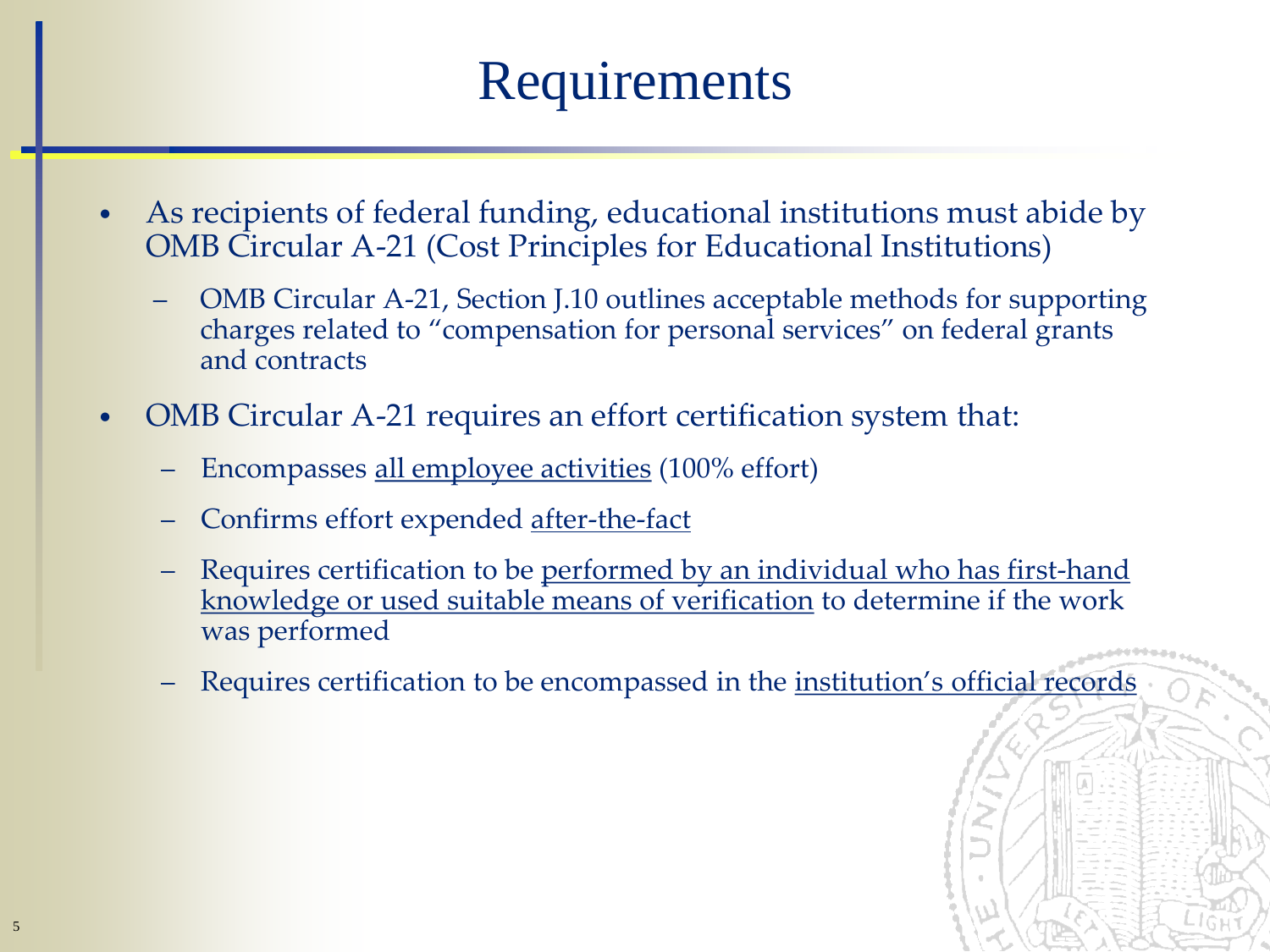## Requirements

- As recipients of federal funding, educational institutions must abide by OMB Circular A-21 (Cost Principles for Educational Institutions)
	- OMB Circular A-21, Section J.10 outlines acceptable methods for supporting charges related to "compensation for personal services" on federal grants and contracts
- OMB Circular A-21 requires an effort certification system that:
	- Encompasses all employee activities (100% effort)
	- Confirms effort expended after-the-fact
	- Requires certification to be performed by an individual who has first-hand knowledge or used suitable means of verification to determine if the work was performed
	- Requires certification to be encompassed in the <u>institution's official records</u>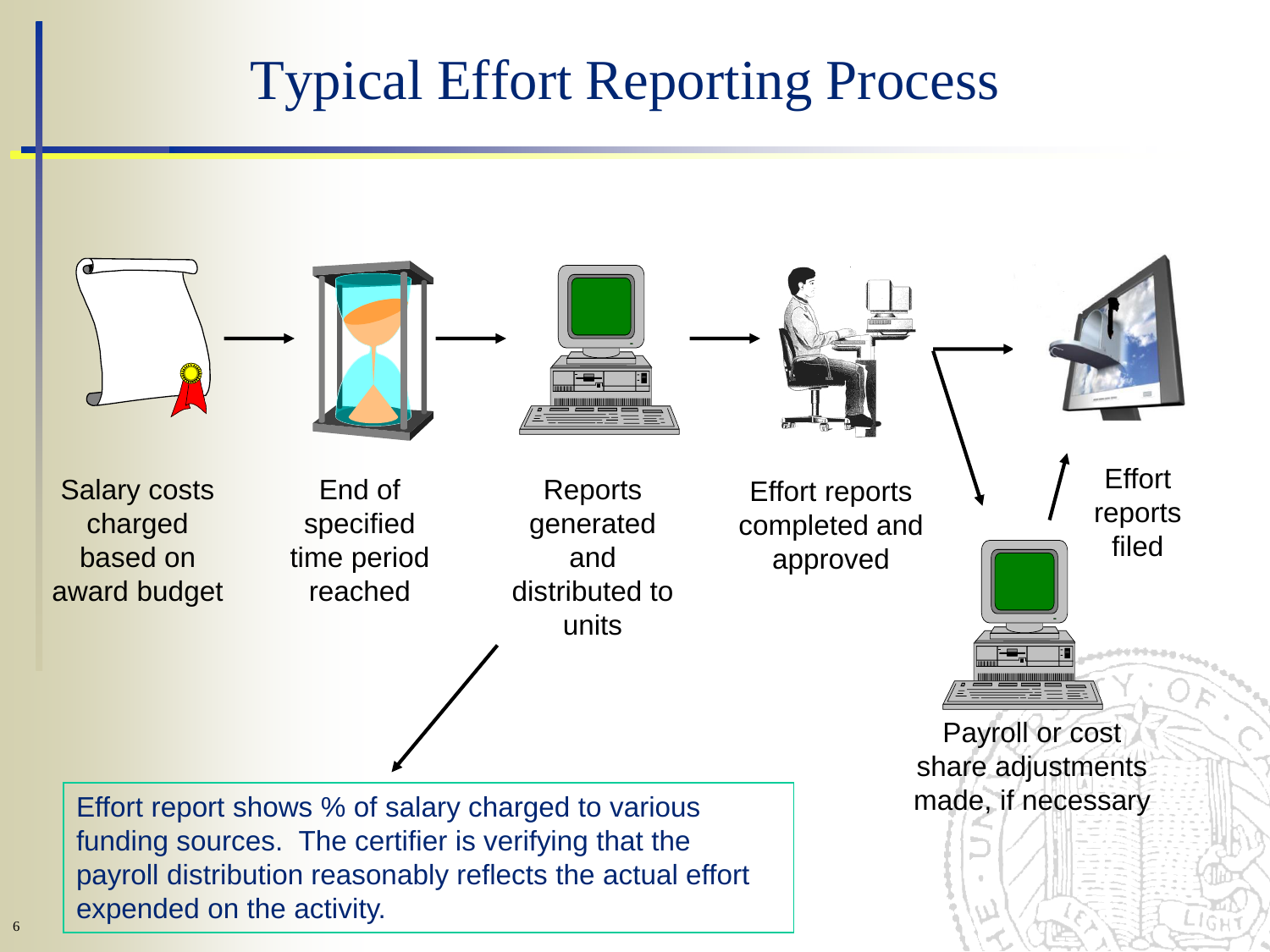## Typical Effort Reporting Process

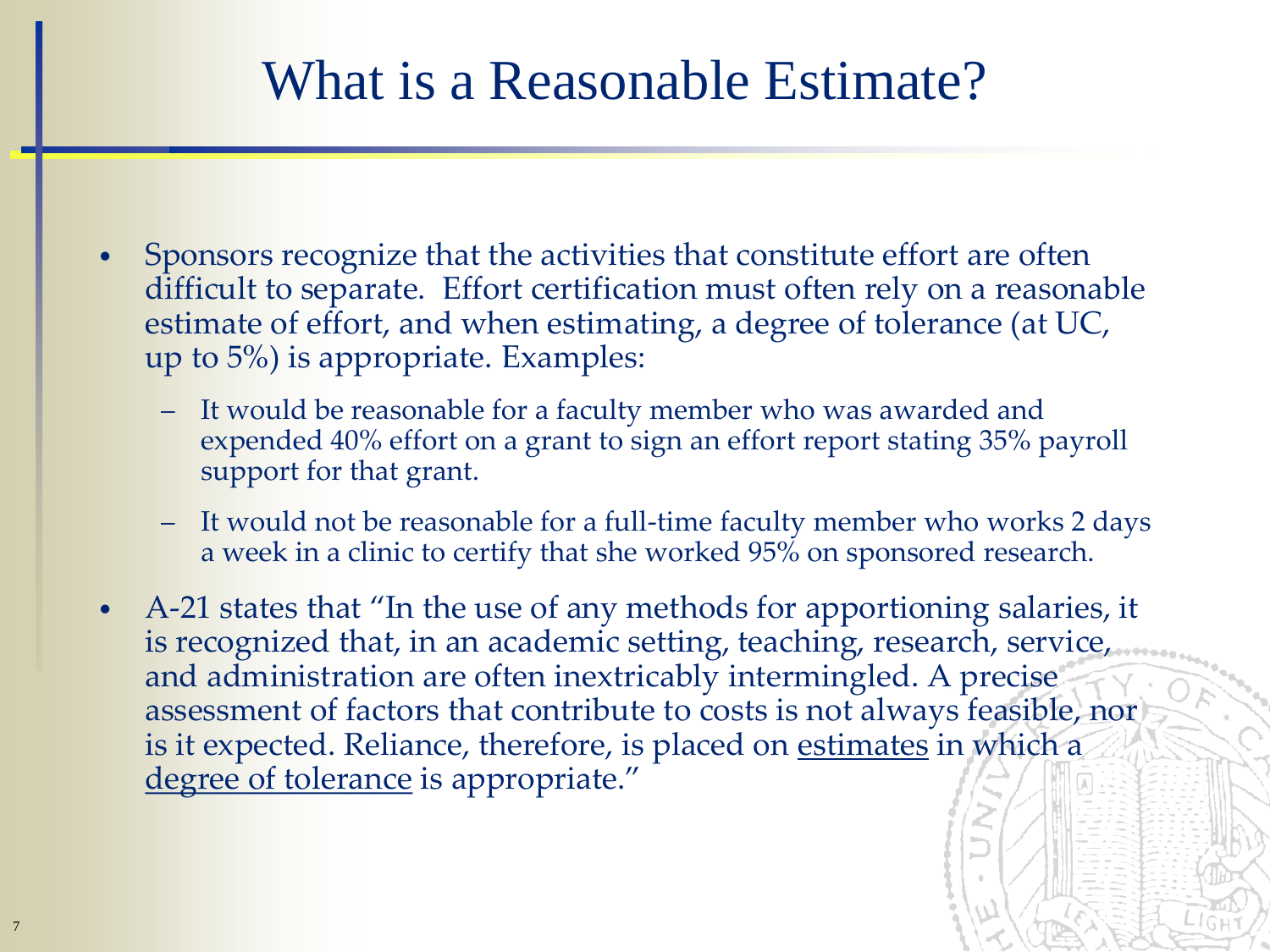#### What is a Reasonable Estimate?

- Sponsors recognize that the activities that constitute effort are often difficult to separate. Effort certification must often rely on a reasonable estimate of effort, and when estimating, a degree of tolerance (at UC, up to 5%) is appropriate. Examples:
	- It would be reasonable for a faculty member who was awarded and expended 40% effort on a grant to sign an effort report stating 35% payroll support for that grant.
	- It would not be reasonable for a full-time faculty member who works 2 days a week in a clinic to certify that she worked 95% on sponsored research.
- A-21 states that "In the use of any methods for apportioning salaries, it is recognized that, in an academic setting, teaching, research, service, and administration are often inextricably intermingled. A precise assessment of factors that contribute to costs is not always feasible, nor is it expected. Reliance, therefore, is placed on estimates in which a degree of tolerance is appropriate."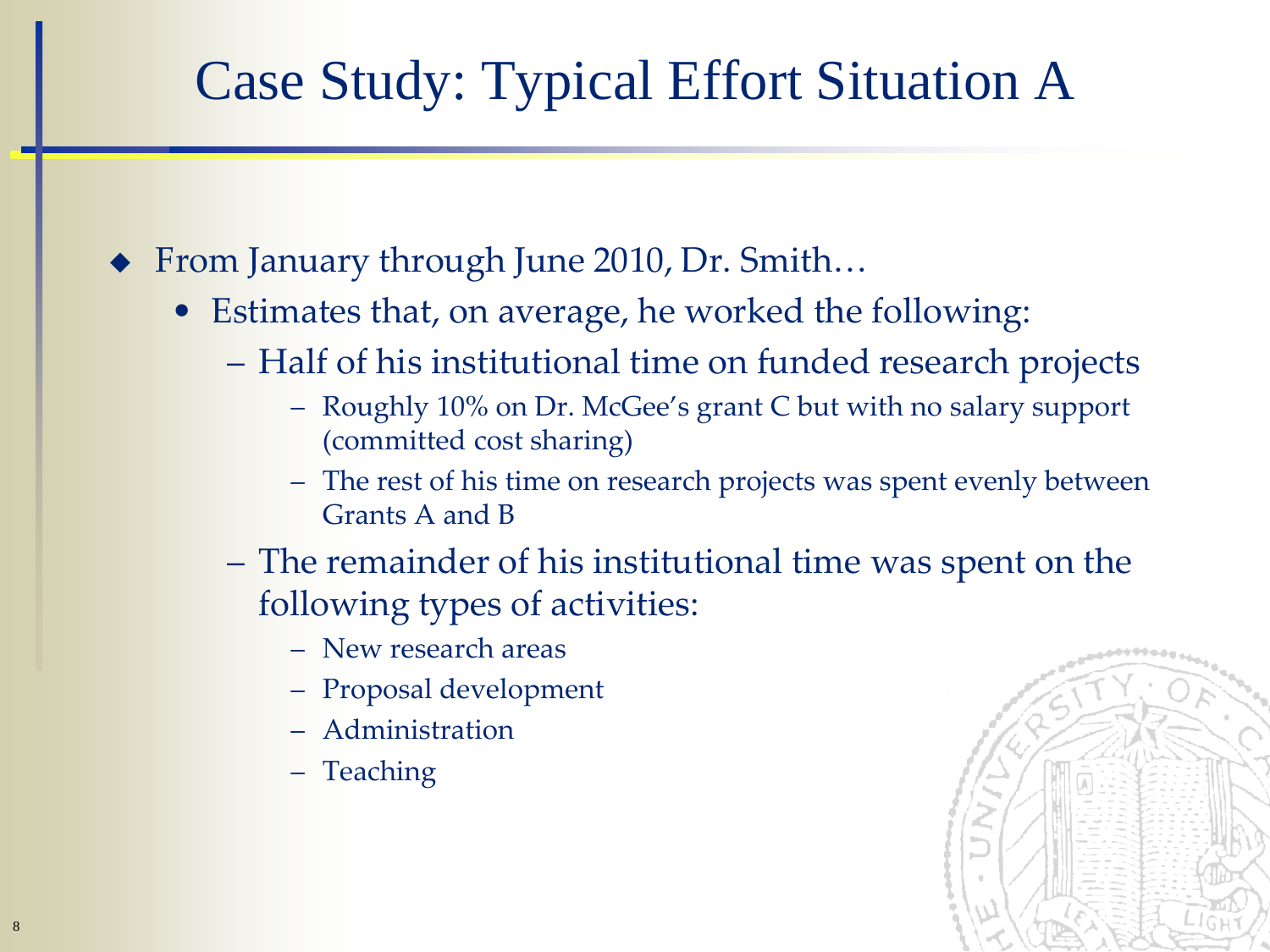## Case Study: Typical Effort Situation A

- From January through June 2010, Dr. Smith…
	- Estimates that, on average, he worked the following:
		- Half of his institutional time on funded research projects
			- Roughly 10% on Dr. McGee's grant C but with no salary support (committed cost sharing)
			- The rest of his time on research projects was spent evenly between Grants A and B
		- The remainder of his institutional time was spent on the following types of activities:
			- New research areas
			- Proposal development
			- Administration
			- Teaching

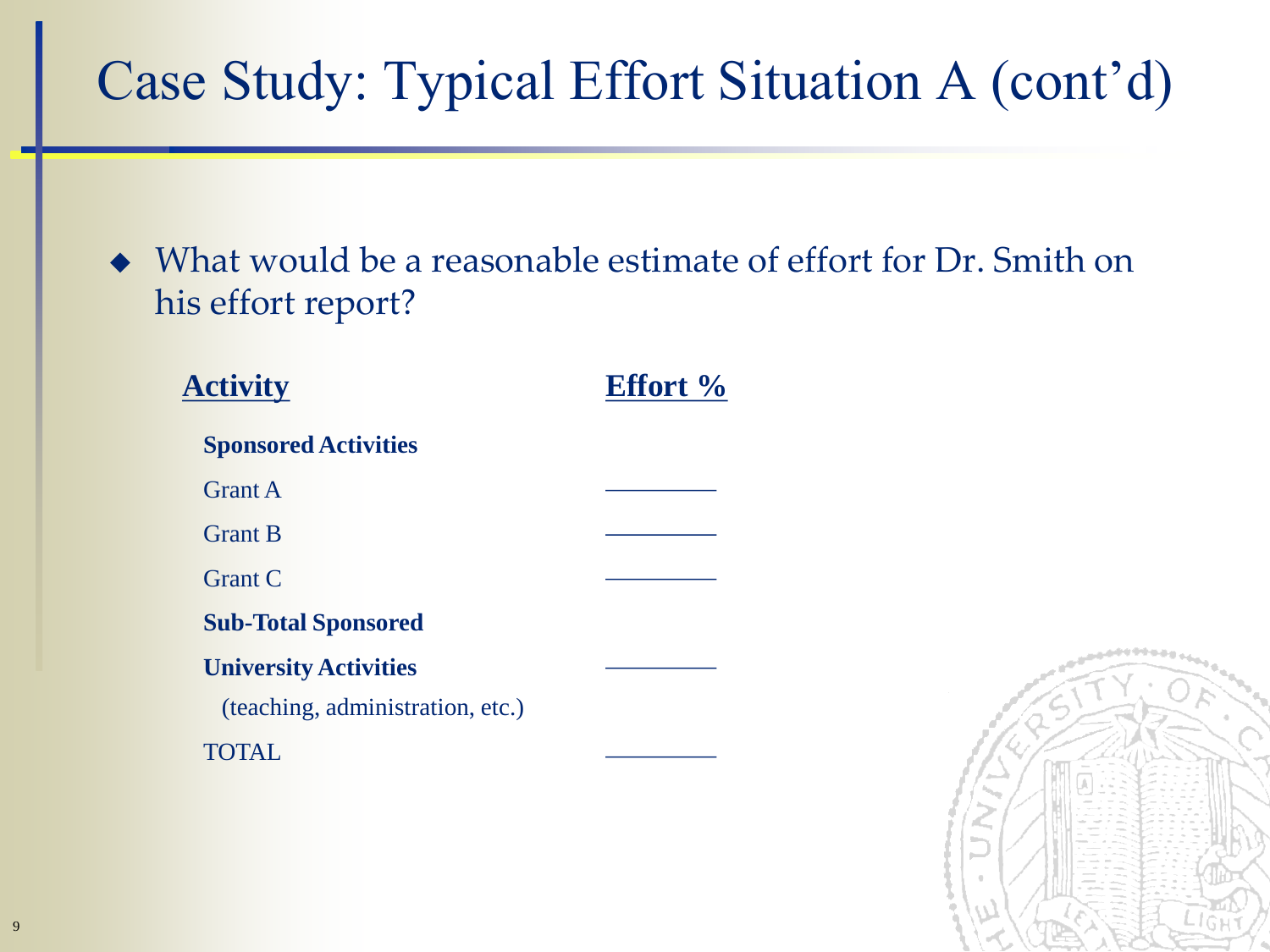# Case Study: Typical Effort Situation A (cont'd)

• What would be a reasonable estimate of effort for Dr. Smith on his effort report?

| <b>Activity</b>                  | <b>Effort</b> % |
|----------------------------------|-----------------|
| <b>Sponsored Activities</b>      |                 |
| <b>Grant A</b>                   |                 |
| <b>Grant B</b>                   |                 |
| <b>Grant C</b>                   |                 |
| <b>Sub-Total Sponsored</b>       |                 |
| <b>University Activities</b>     |                 |
| (teaching, administration, etc.) |                 |
|                                  |                 |

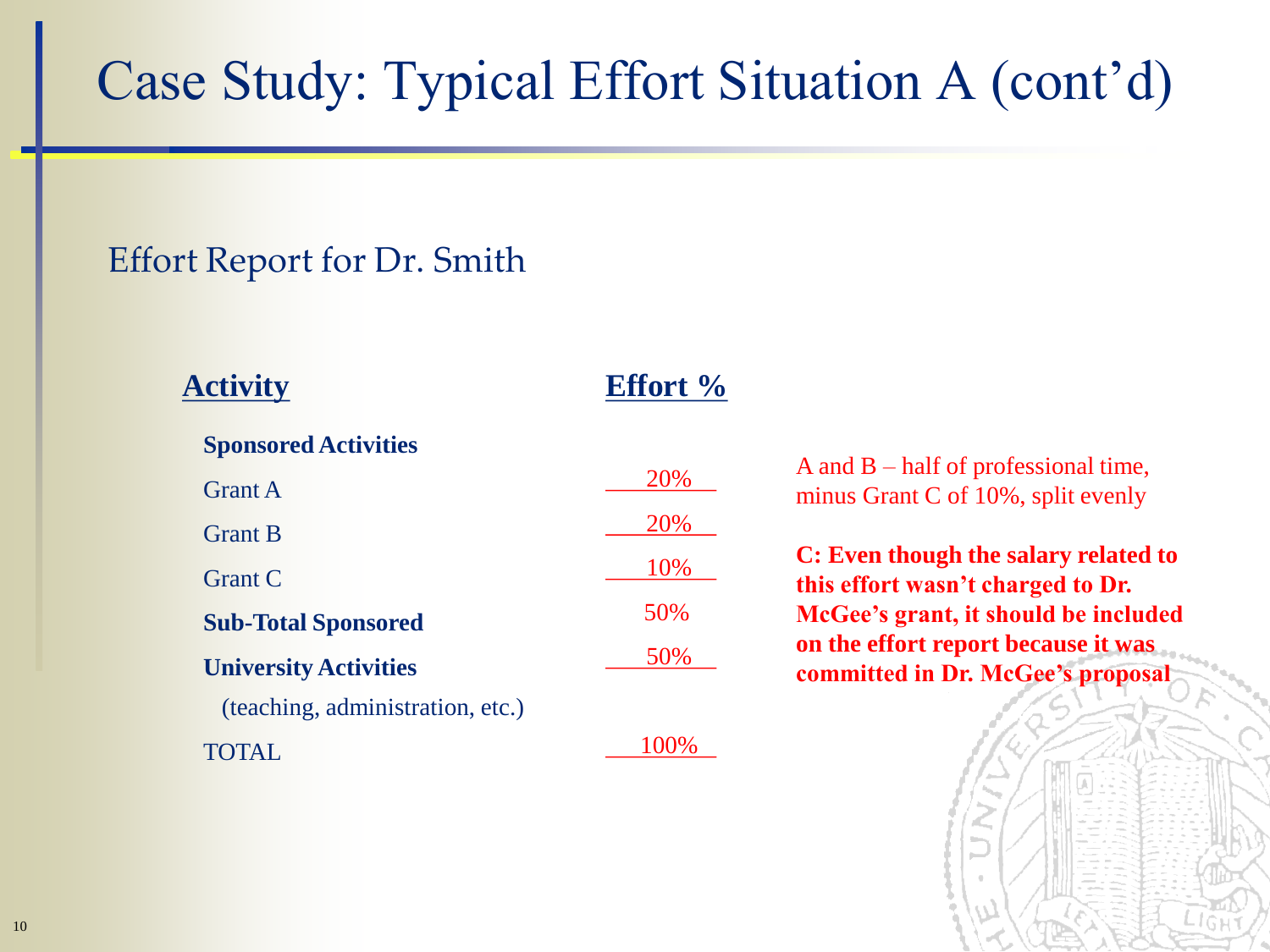# Case Study: Typical Effort Situation A (cont'd)

#### Effort Report for Dr. Smith

| <b>Activity</b>                  | <b>Effort</b> % |                                                                              |
|----------------------------------|-----------------|------------------------------------------------------------------------------|
| <b>Sponsored Activities</b>      |                 |                                                                              |
| <b>Grant A</b>                   | 20%             | A and $B$ – half of professional time,<br>minus Grant C of 10%, split evenly |
| <b>Grant B</b>                   | 20%             |                                                                              |
| <b>Grant C</b>                   | 10%             | C: Even though the salary related to                                         |
| <b>Sub-Total Sponsored</b>       | 50%             | this effort wasn't charged to Dr.<br>McGee's grant, it should be included    |
| <b>University Activities</b>     | 50%             | on the effort report because it was<br>committed in Dr. McGee's proposal     |
| (teaching, administration, etc.) |                 |                                                                              |
| <b>TOTAL</b>                     | 100%            |                                                                              |

10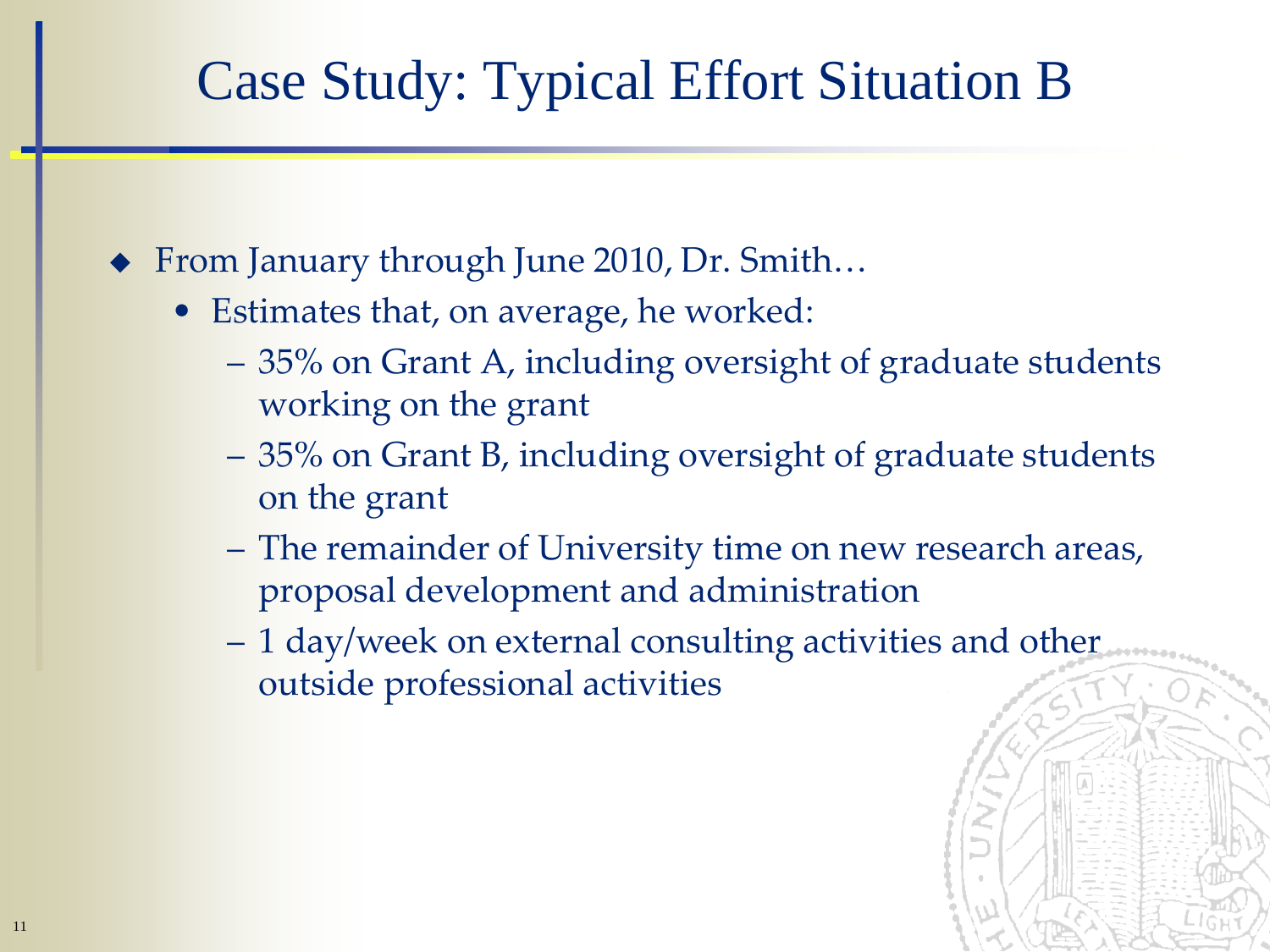## Case Study: Typical Effort Situation B

- ◆ From January through June 2010, Dr. Smith...
	- Estimates that, on average, he worked:
		- 35% on Grant A, including oversight of graduate students working on the grant
		- 35% on Grant B, including oversight of graduate students on the grant
		- The remainder of University time on new research areas, proposal development and administration
		- 1 day/week on external consulting activities and other outside professional activities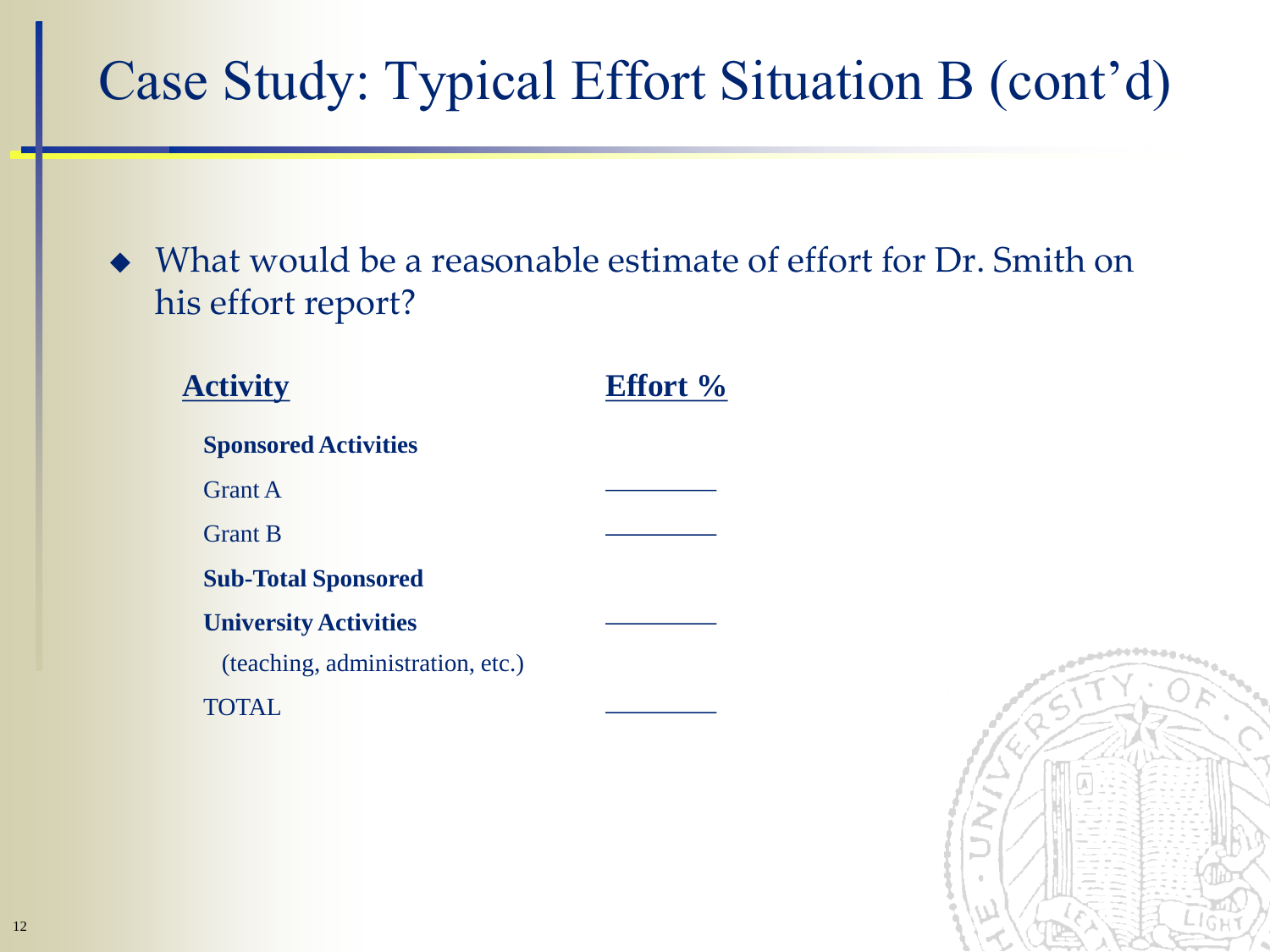# Case Study: Typical Effort Situation B (cont'd)

• What would be a reasonable estimate of effort for Dr. Smith on his effort report?

| <b>Activity</b>                  | <b>Effort</b> % |
|----------------------------------|-----------------|
| <b>Sponsored Activities</b>      |                 |
| <b>Grant A</b>                   |                 |
| <b>Grant B</b>                   |                 |
| <b>Sub-Total Sponsored</b>       |                 |
| <b>University Activities</b>     |                 |
| (teaching, administration, etc.) |                 |
|                                  |                 |

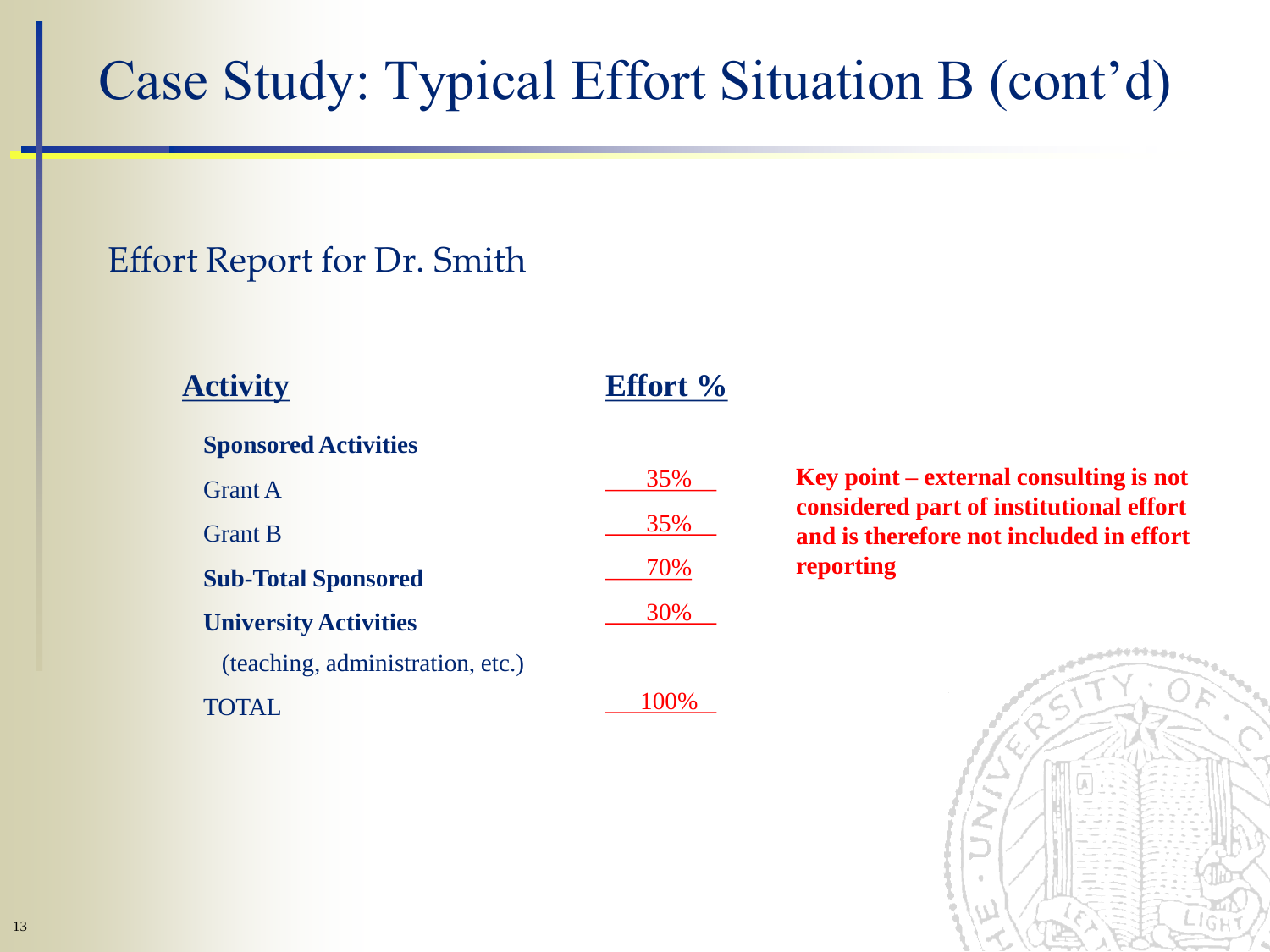# Case Study: Typical Effort Situation B (cont'd)

#### Effort Report for Dr. Smith

| <b>Activity</b>                  | <b>Effort</b> % |                  |  |  |
|----------------------------------|-----------------|------------------|--|--|
| <b>Sponsored Activities</b>      |                 |                  |  |  |
| <b>Grant A</b>                   | 35%             | <b>Key po</b>    |  |  |
| <b>Grant B</b>                   | 35%             | consid<br>and is |  |  |
| <b>Sub-Total Sponsored</b>       | 70%             | reporti          |  |  |
| <b>University Activities</b>     | 30%             |                  |  |  |
| (teaching, administration, etc.) |                 |                  |  |  |
|                                  |                 |                  |  |  |

**Key point – external consulting is not considered part of institutional effort and is therefore not included in effort**  ing

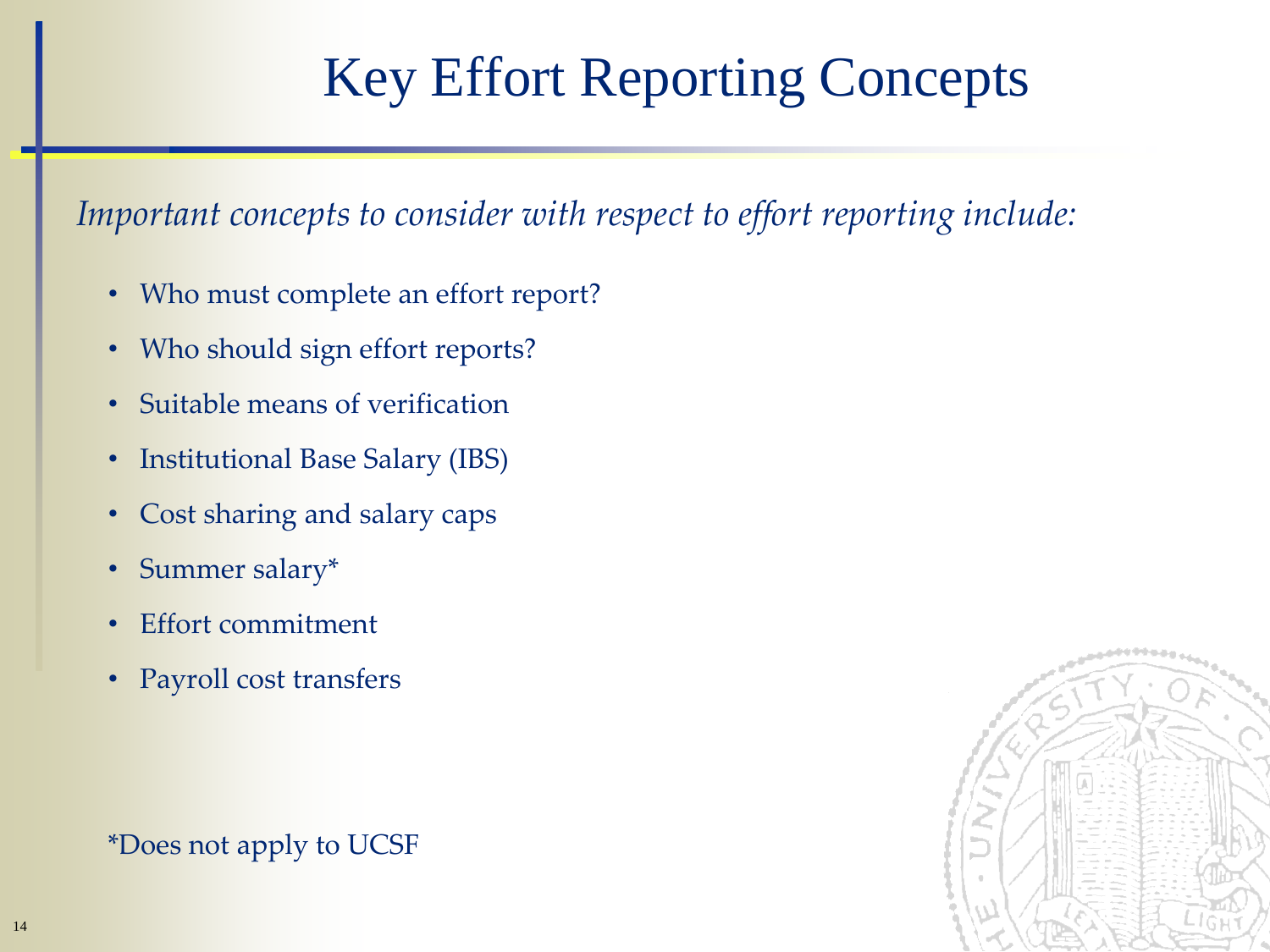# Key Effort Reporting Concepts

*Important concepts to consider with respect to effort reporting include:*

- Who must complete an effort report?
- Who should sign effort reports?
- Suitable means of verification
- Institutional Base Salary (IBS)
- Cost sharing and salary caps
- Summer salary\*
- Effort commitment
- Payroll cost transfers

\*Does not apply to UCSF

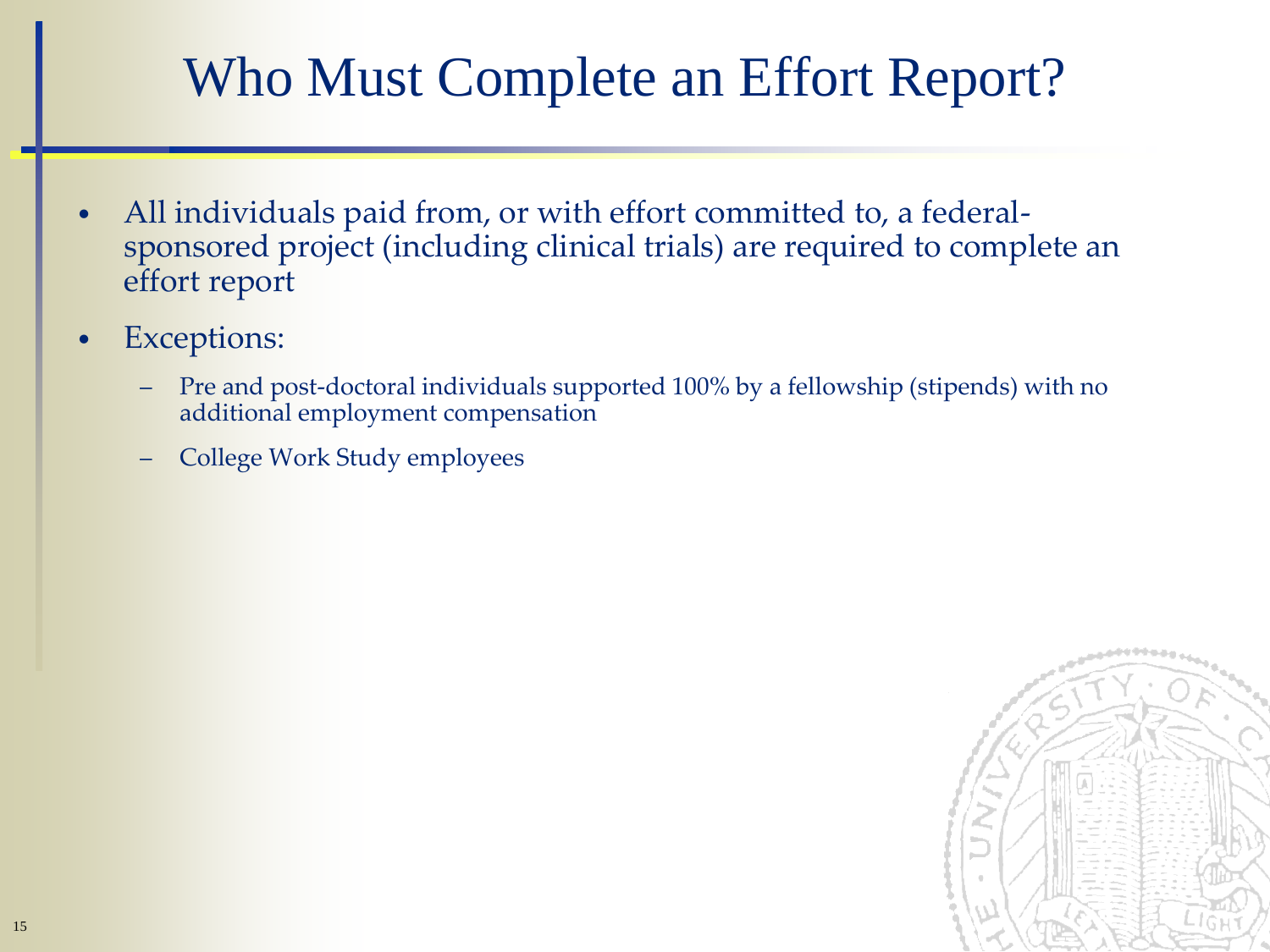## Who Must Complete an Effort Report?

- All individuals paid from, or with effort committed to, a federalsponsored project (including clinical trials) are required to complete an effort report
- Exceptions:
	- Pre and post-doctoral individuals supported 100% by a fellowship (stipends) with no additional employment compensation
	- College Work Study employees

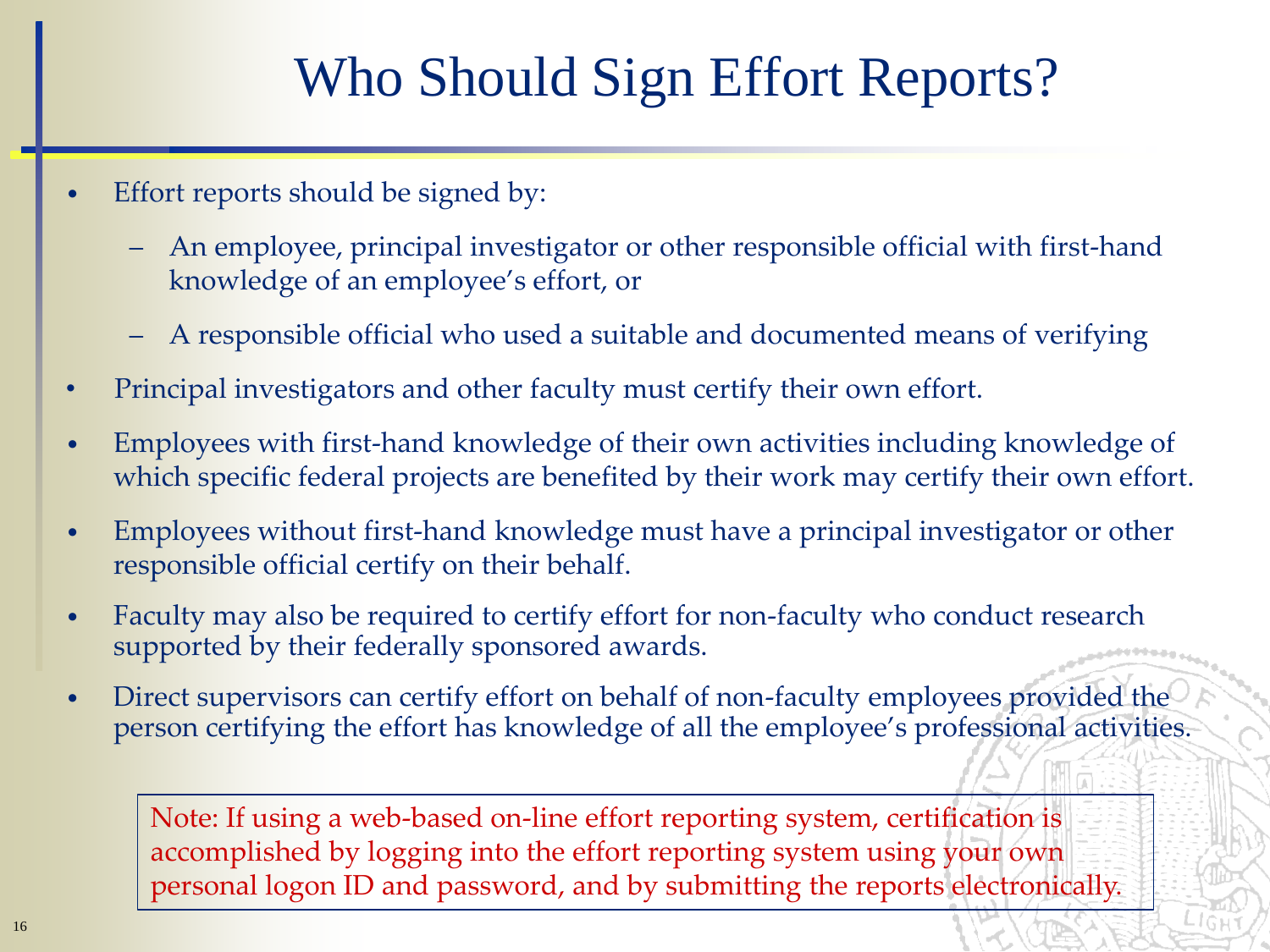# Who Should Sign Effort Reports?

- Effort reports should be signed by:
	- An employee, principal investigator or other responsible official with first-hand knowledge of an employee's effort, or
	- A responsible official who used a suitable and documented means of verifying
- Principal investigators and other faculty must certify their own effort.
- Employees with first-hand knowledge of their own activities including knowledge of which specific federal projects are benefited by their work may certify their own effort.
- Employees without first-hand knowledge must have a principal investigator or other responsible official certify on their behalf.
- Faculty may also be required to certify effort for non-faculty who conduct research supported by their federally sponsored awards.
- Direct supervisors can certify effort on behalf of non-faculty employees provided the person certifying the effort has knowledge of all the employee's professional activities.

Note: If using a web-based on-line effort reporting system, certification is accomplished by logging into the effort reporting system using your own personal logon ID and password, and by submitting the reports electronically.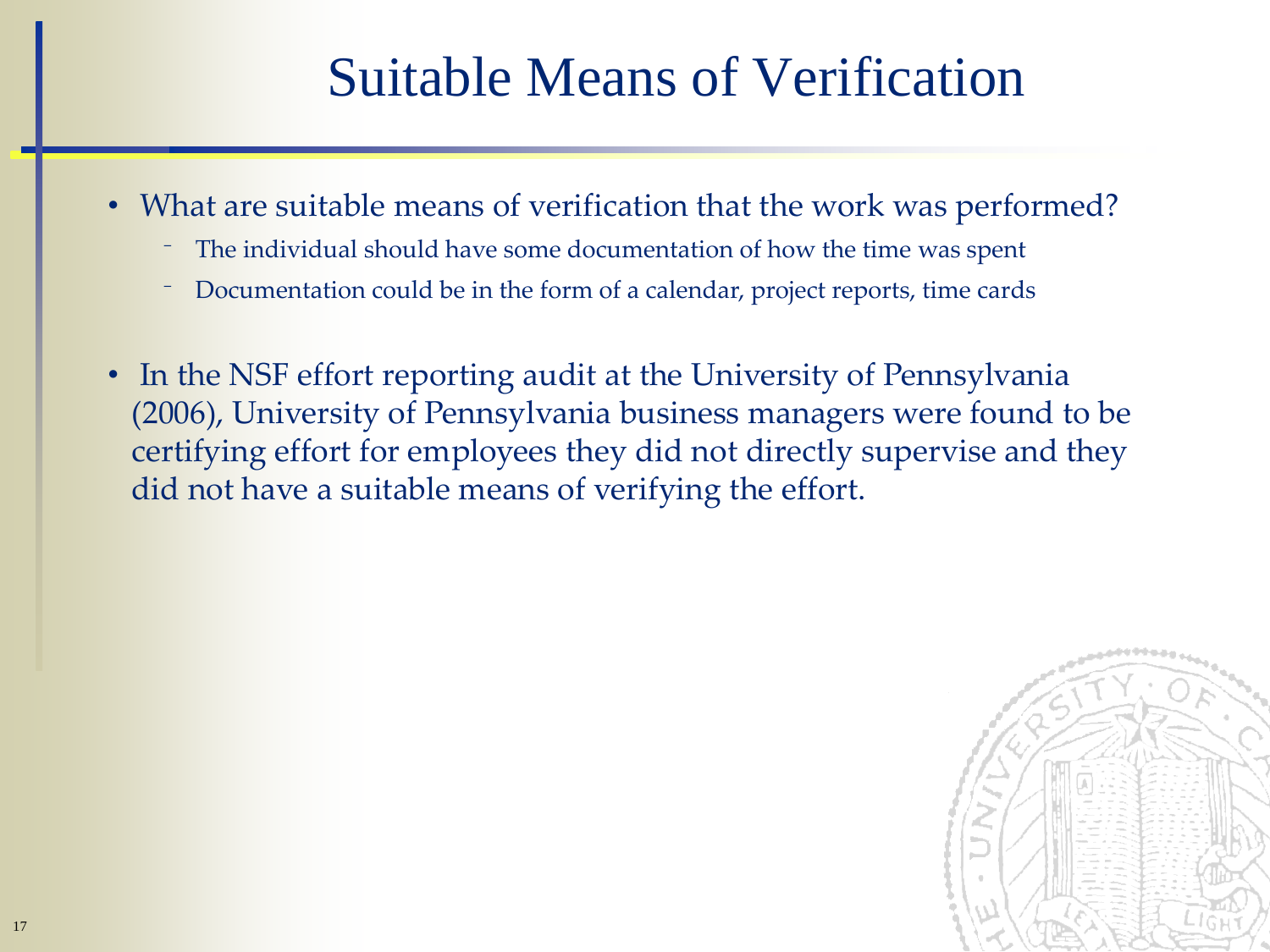## Suitable Means of Verification

- What are suitable means of verification that the work was performed?
	- ⁻ The individual should have some documentation of how the time was spent
	- Documentation could be in the form of a calendar, project reports, time cards
- In the NSF effort reporting audit at the University of Pennsylvania (2006), University of Pennsylvania business managers were found to be certifying effort for employees they did not directly supervise and they did not have a suitable means of verifying the effort.

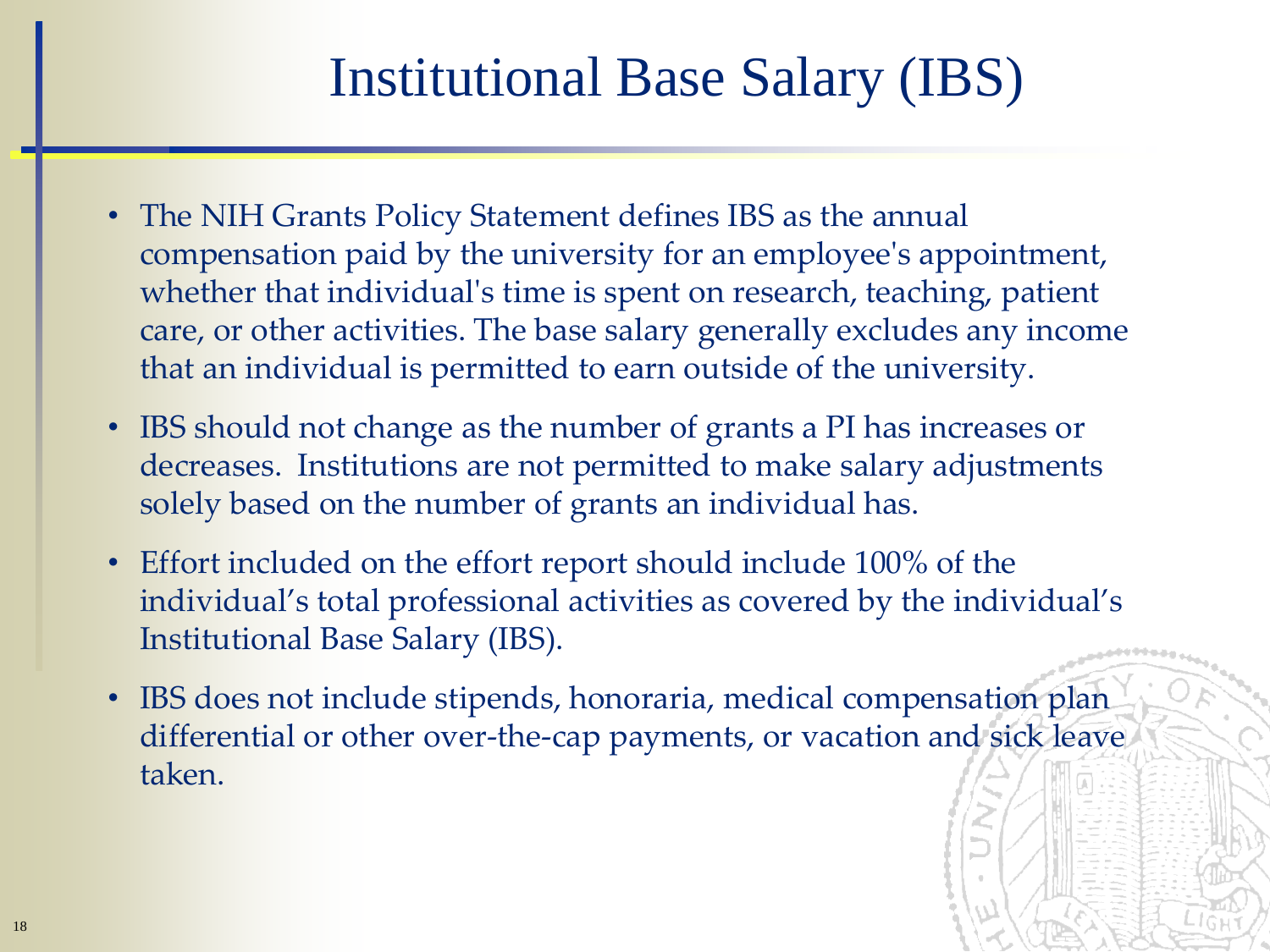## Institutional Base Salary (IBS)

- The NIH Grants Policy Statement defines IBS as the annual compensation paid by the university for an employee's appointment, whether that individual's time is spent on research, teaching, patient care, or other activities. The base salary generally excludes any income that an individual is permitted to earn outside of the university.
- IBS should not change as the number of grants a PI has increases or decreases. Institutions are not permitted to make salary adjustments solely based on the number of grants an individual has.
- Effort included on the effort report should include 100% of the individual's total professional activities as covered by the individual's Institutional Base Salary (IBS).
- IBS does not include stipends, honoraria, medical compensation plan differential or other over-the-cap payments, or vacation and sick leave taken.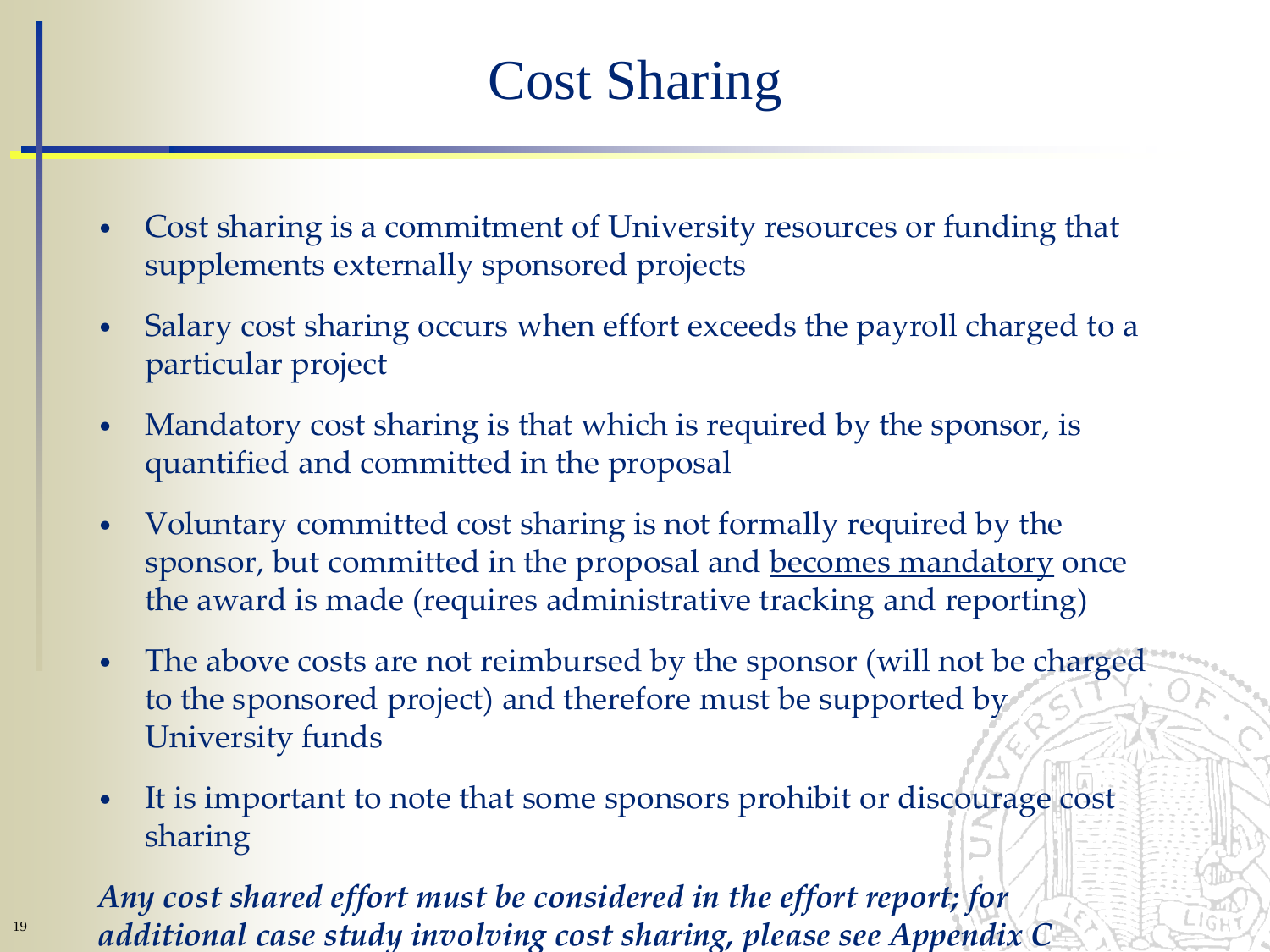## Cost Sharing

- Cost sharing is a commitment of University resources or funding that supplements externally sponsored projects
- Salary cost sharing occurs when effort exceeds the payroll charged to a particular project
- Mandatory cost sharing is that which is required by the sponsor, is quantified and committed in the proposal
- Voluntary committed cost sharing is not formally required by the sponsor, but committed in the proposal and becomes mandatory once the award is made (requires administrative tracking and reporting)
- The above costs are not reimbursed by the sponsor (will not be charged to the sponsored project) and therefore must be supported by University funds
- It is important to note that some sponsors prohibit or discourage cost sharing

*Any cost shared effort must be considered in the effort report; for additional case study involving cost sharing, please see Appendix C*

19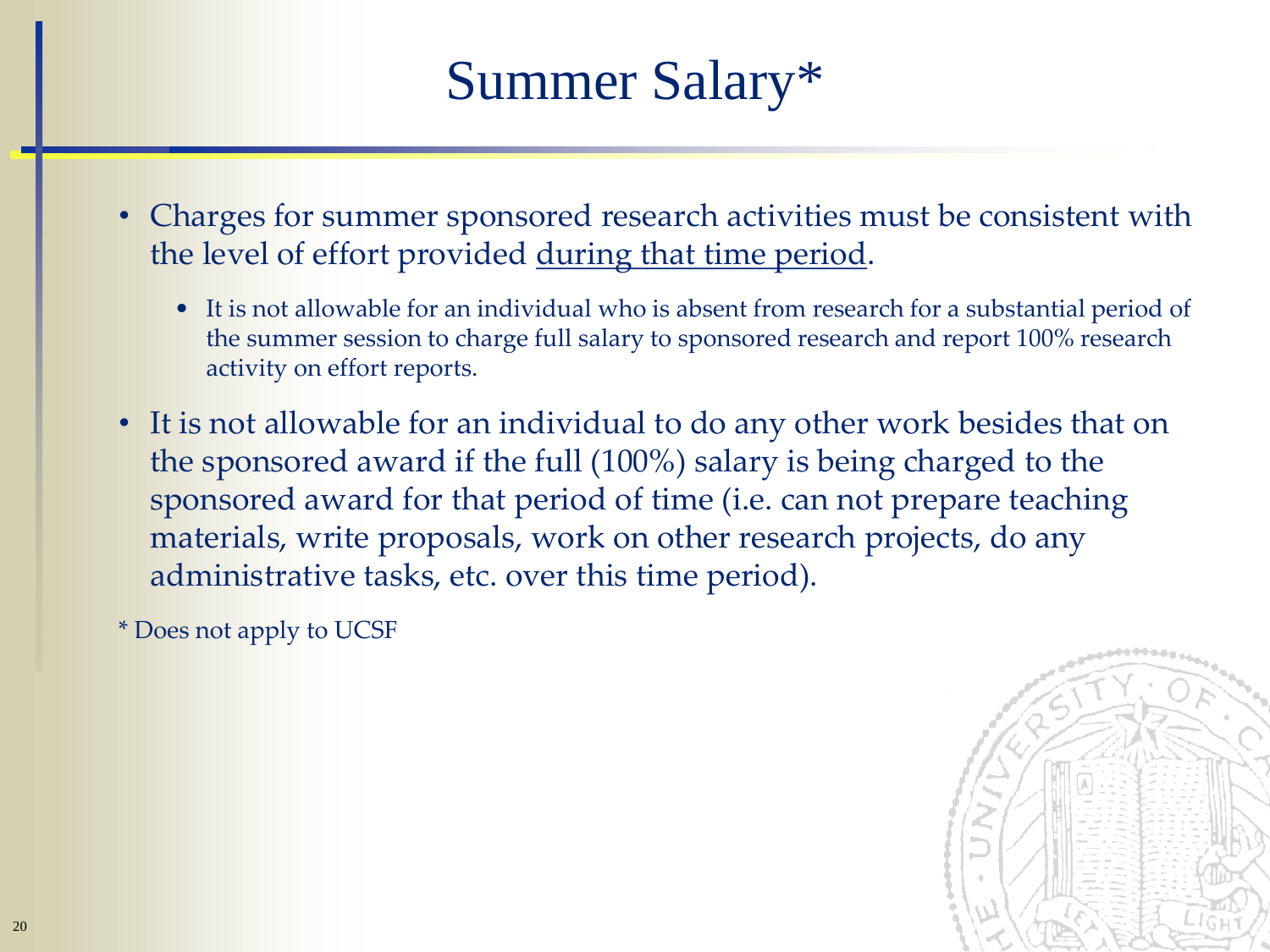## Summer Salary\*

- Charges for summer sponsored research activities must be consistent with the level of effort provided during that time period.
	- It is not allowable for an individual who is absent from research for a substantial period of the summer session to charge full salary to sponsored research and report 100% research activity on effort reports.
- It is not allowable for an individual to do any other work besides that on the sponsored award if the full (100%) salary is being charged to the sponsored award for that period of time (i.e. can not prepare teaching materials, write proposals, work on other research projects, do any administrative tasks, etc. over this time period).

\* Does not apply to UCSF

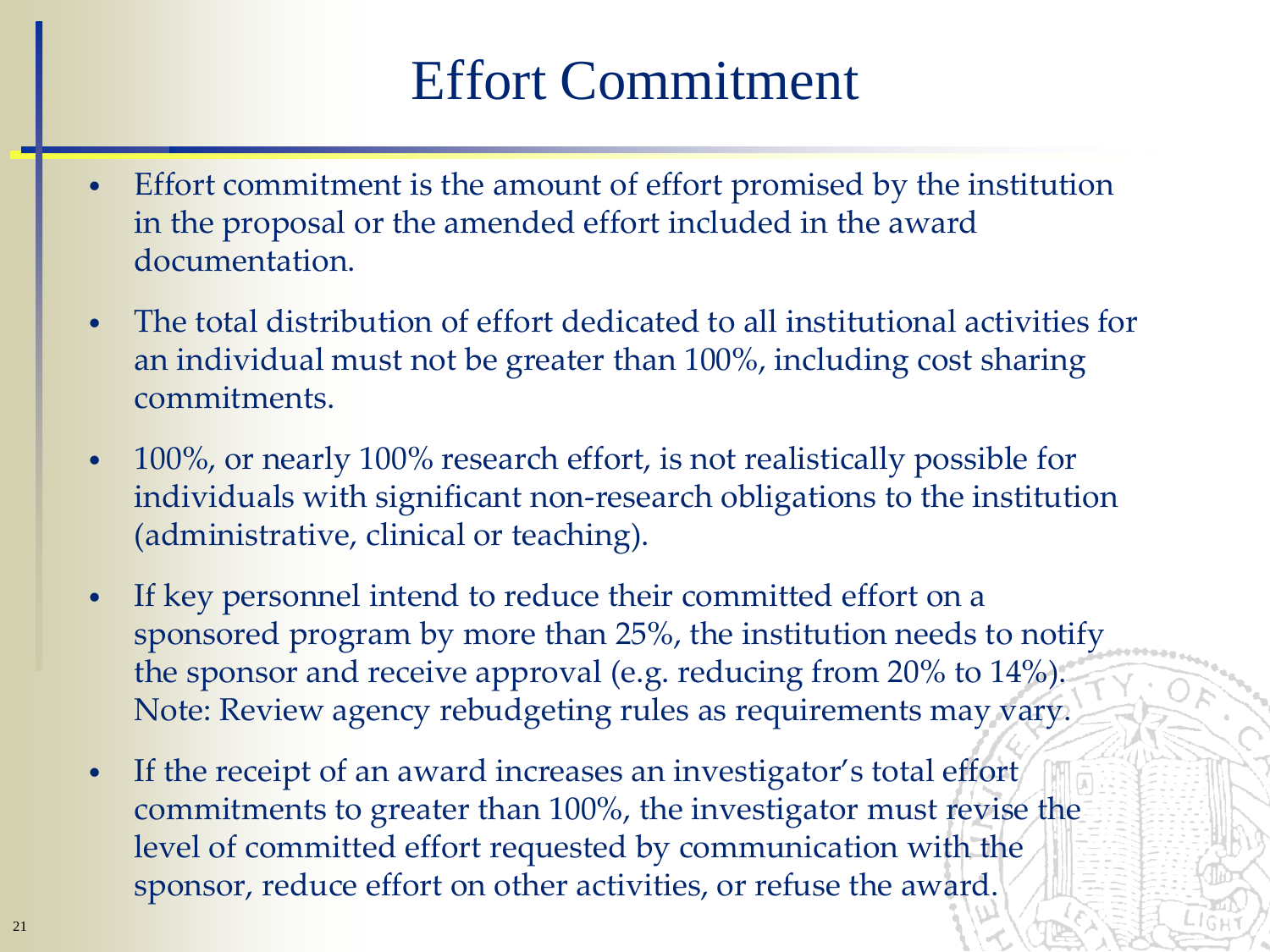### Effort Commitment

- Effort commitment is the amount of effort promised by the institution in the proposal or the amended effort included in the award documentation.
- The total distribution of effort dedicated to all institutional activities for an individual must not be greater than 100%, including cost sharing commitments.
- 100%, or nearly 100% research effort, is not realistically possible for individuals with significant non-research obligations to the institution (administrative, clinical or teaching).
- If key personnel intend to reduce their committed effort on a sponsored program by more than 25%, the institution needs to notify the sponsor and receive approval (e.g. reducing from 20% to 14%). Note: Review agency rebudgeting rules as requirements may vary.
- If the receipt of an award increases an investigator's total effort commitments to greater than 100%, the investigator must revise the level of committed effort requested by communication with the sponsor, reduce effort on other activities, or refuse the award.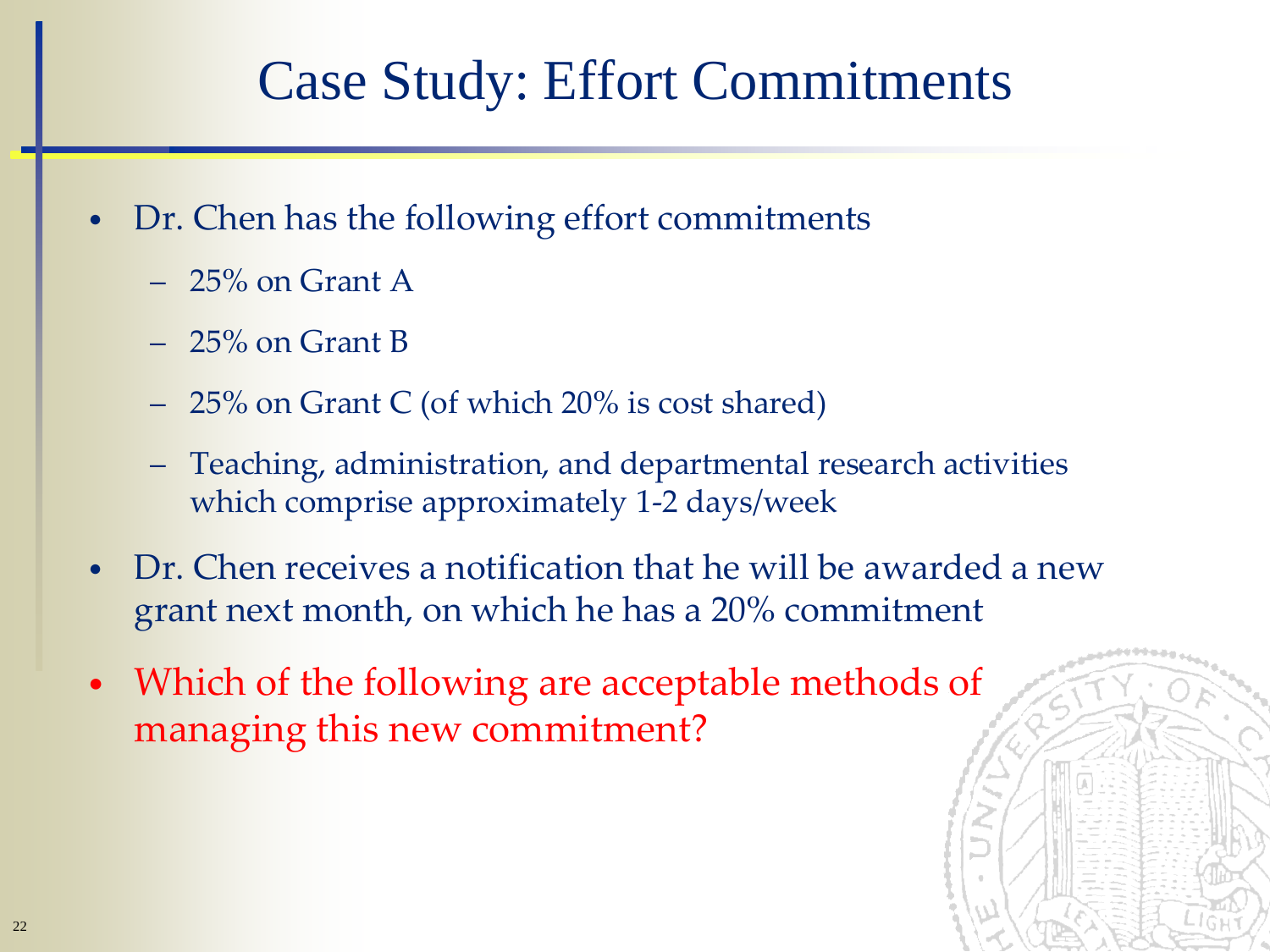### Case Study: Effort Commitments

- Dr. Chen has the following effort commitments
	- 25% on Grant A
	- 25% on Grant B
	- 25% on Grant C (of which 20% is cost shared)
	- Teaching, administration, and departmental research activities which comprise approximately 1-2 days/week
- Dr. Chen receives a notification that he will be awarded a new grant next month, on which he has a 20% commitment
- Which of the following are acceptable methods of managing this new commitment?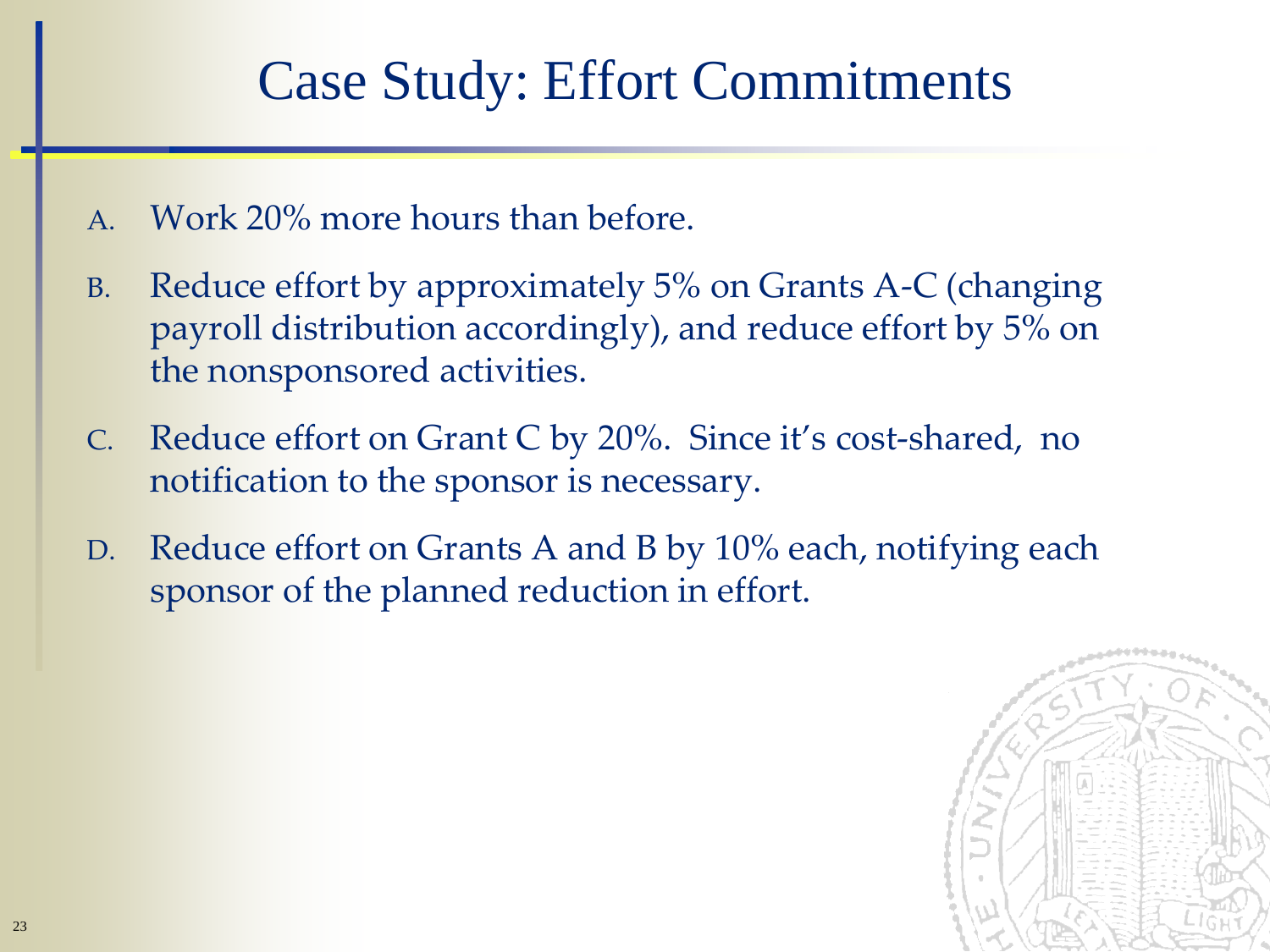### Case Study: Effort Commitments

- A. Work 20% more hours than before.
- B. Reduce effort by approximately 5% on Grants A-C (changing payroll distribution accordingly), and reduce effort by 5% on the nonsponsored activities.
- C. Reduce effort on Grant C by 20%. Since it's cost-shared, no notification to the sponsor is necessary.
- D. Reduce effort on Grants A and B by 10% each, notifying each sponsor of the planned reduction in effort.

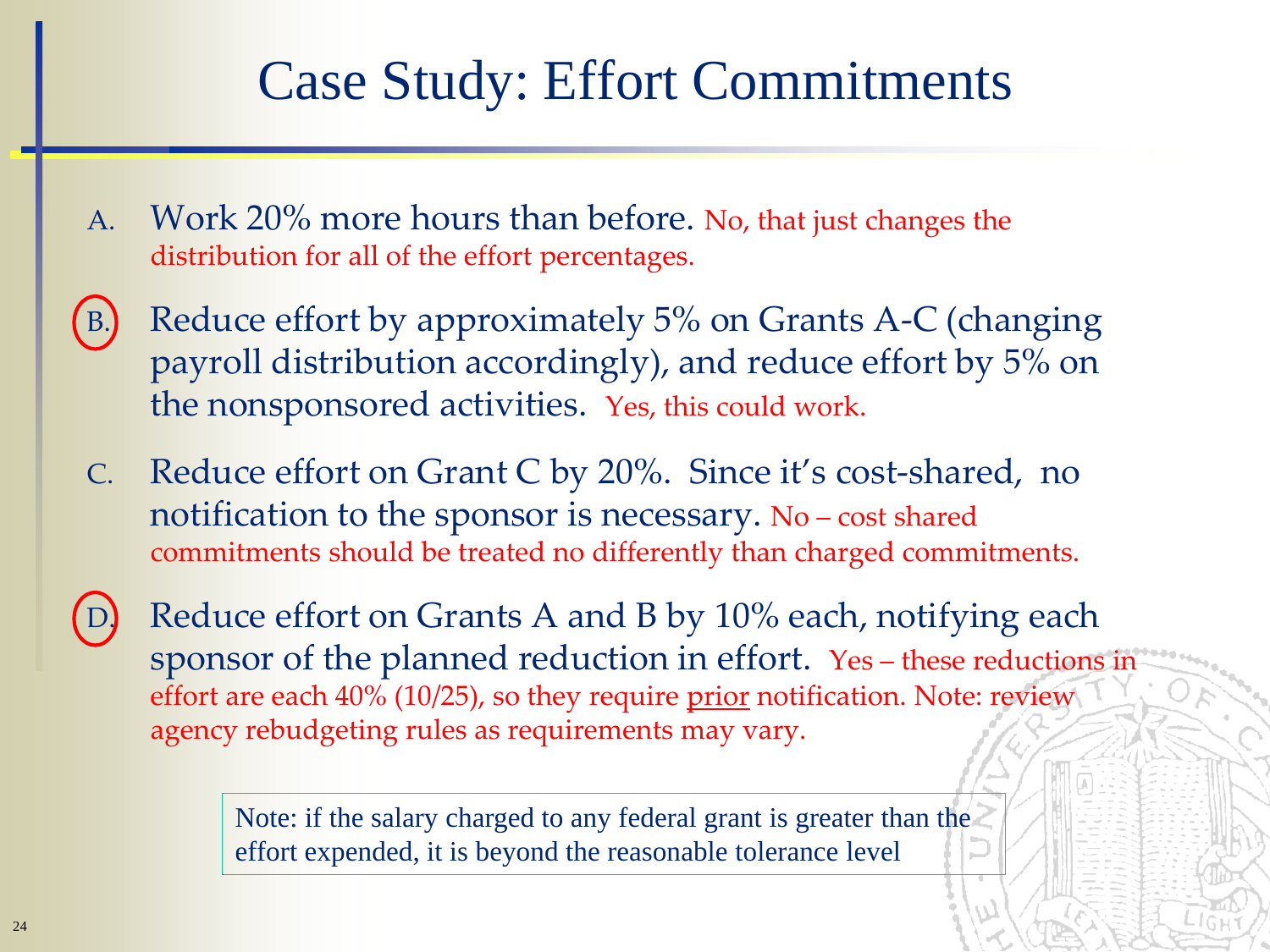### Case Study: Effort Commitments

- A. Work 20% more hours than before. No, that just changes the distribution for all of the effort percentages.
- B. Reduce effort by approximately 5% on Grants A-C (changing payroll distribution accordingly), and reduce effort by 5% on the nonsponsored activities. Yes, this could work.
- C. Reduce effort on Grant C by 20%. Since it's cost-shared, no notification to the sponsor is necessary. No – cost shared commitments should be treated no differently than charged commitments.
- Reduce effort on Grants A and B by 10% each, notifying each sponsor of the planned reduction in effort. Yes – these reductions in effort are each 40% (10/25), so they require prior notification. Note: review agency rebudgeting rules as requirements may vary.

Note: if the salary charged to any federal grant is greater than the effort expended, it is beyond the reasonable tolerance level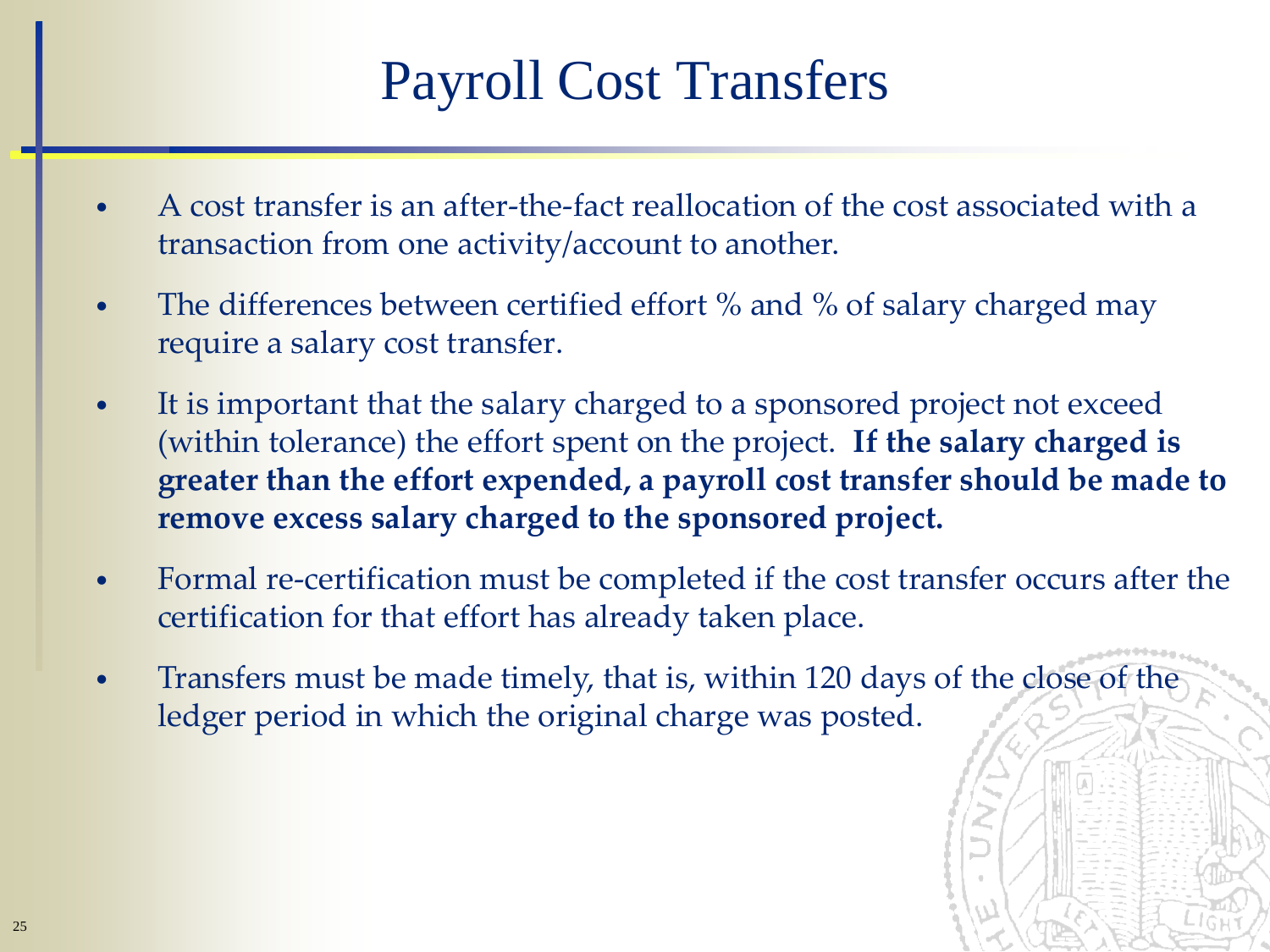## Payroll Cost Transfers

- A cost transfer is an after-the-fact reallocation of the cost associated with a transaction from one activity/account to another.
- The differences between certified effort % and % of salary charged may require a salary cost transfer.
- It is important that the salary charged to a sponsored project not exceed (within tolerance) the effort spent on the project. **If the salary charged is greater than the effort expended, a payroll cost transfer should be made to remove excess salary charged to the sponsored project.**
- Formal re-certification must be completed if the cost transfer occurs after the certification for that effort has already taken place.
- Transfers must be made timely, that is, within 120 days of the close of the ledger period in which the original charge was posted.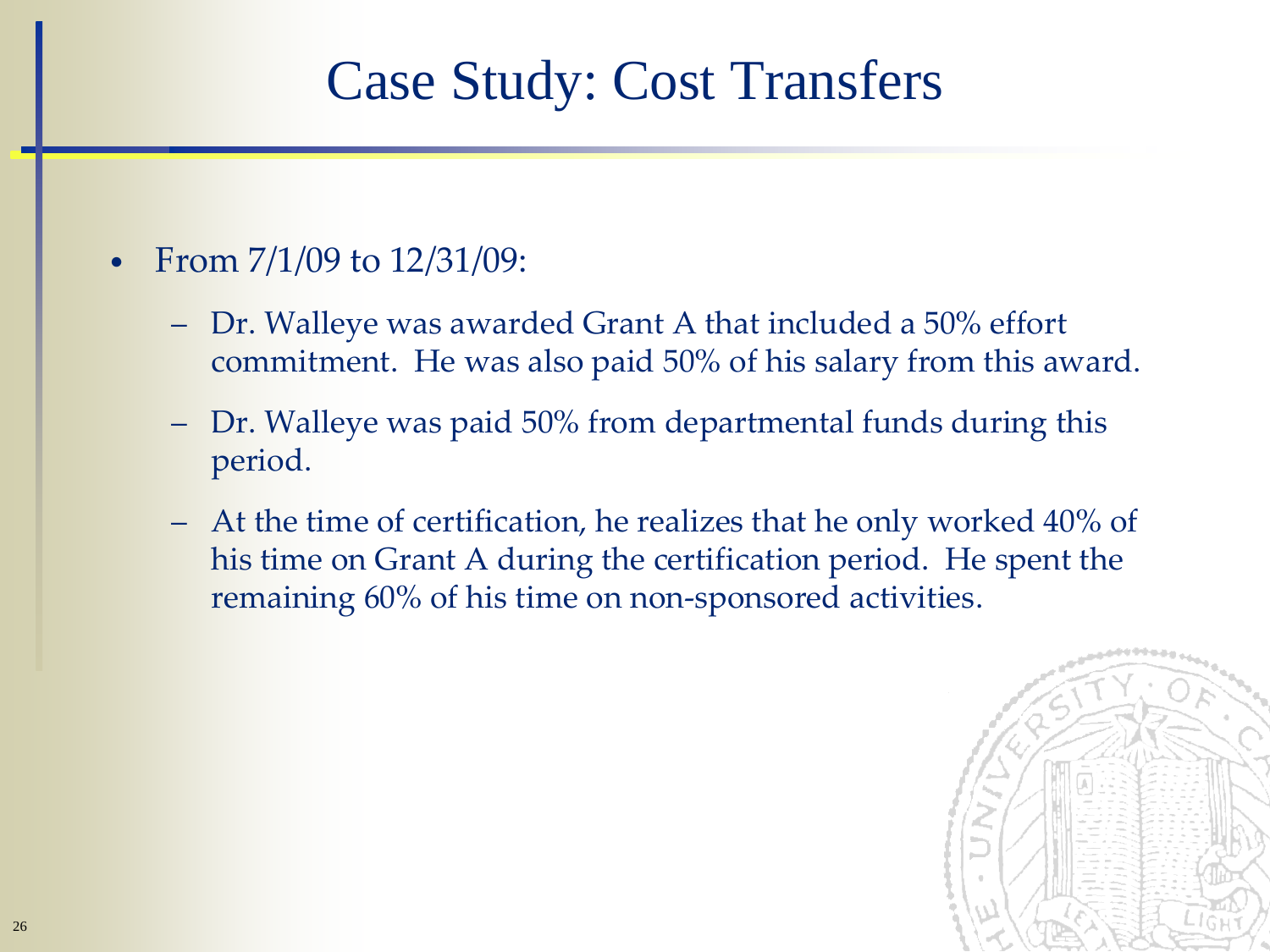### Case Study: Cost Transfers

- From  $7/1/09$  to  $12/31/09$ :
	- Dr. Walleye was awarded Grant A that included a 50% effort commitment. He was also paid 50% of his salary from this award.
	- Dr. Walleye was paid 50% from departmental funds during this period.
	- At the time of certification, he realizes that he only worked 40% of his time on Grant A during the certification period. He spent the remaining 60% of his time on non-sponsored activities.

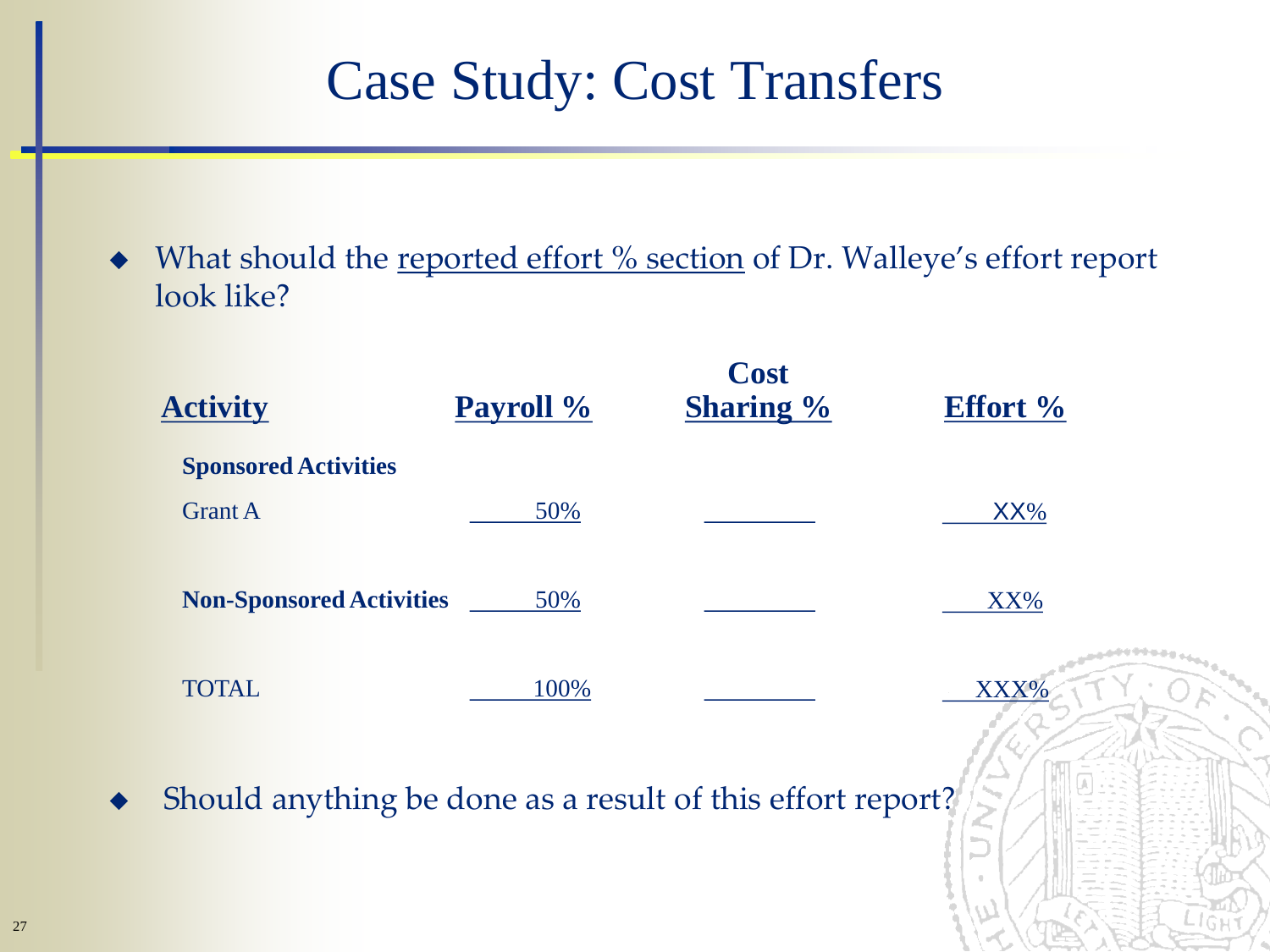### Case Study: Cost Transfers

What should the reported effort % section of Dr. Walleye's effort report look like?

| <b>Activity</b>                                            | Payroll % | <b>Cost</b><br><b>Sharing %</b> | <b>Effort %</b>                  |
|------------------------------------------------------------|-----------|---------------------------------|----------------------------------|
| <b>Sponsored Activities</b>                                |           |                                 |                                  |
| <b>Grant A</b>                                             | 50%       |                                 | XX%                              |
| <b>Non-Sponsored Activities</b>                            | 50%       |                                 | XX%                              |
| <b>TOTAL</b>                                               | 100%      |                                 | XXX%                             |
| Should anything be done as a result of this effort report? |           |                                 | ديرا<br>$\sim$<br>$\blacksquare$ |

メバン ハイビン インプ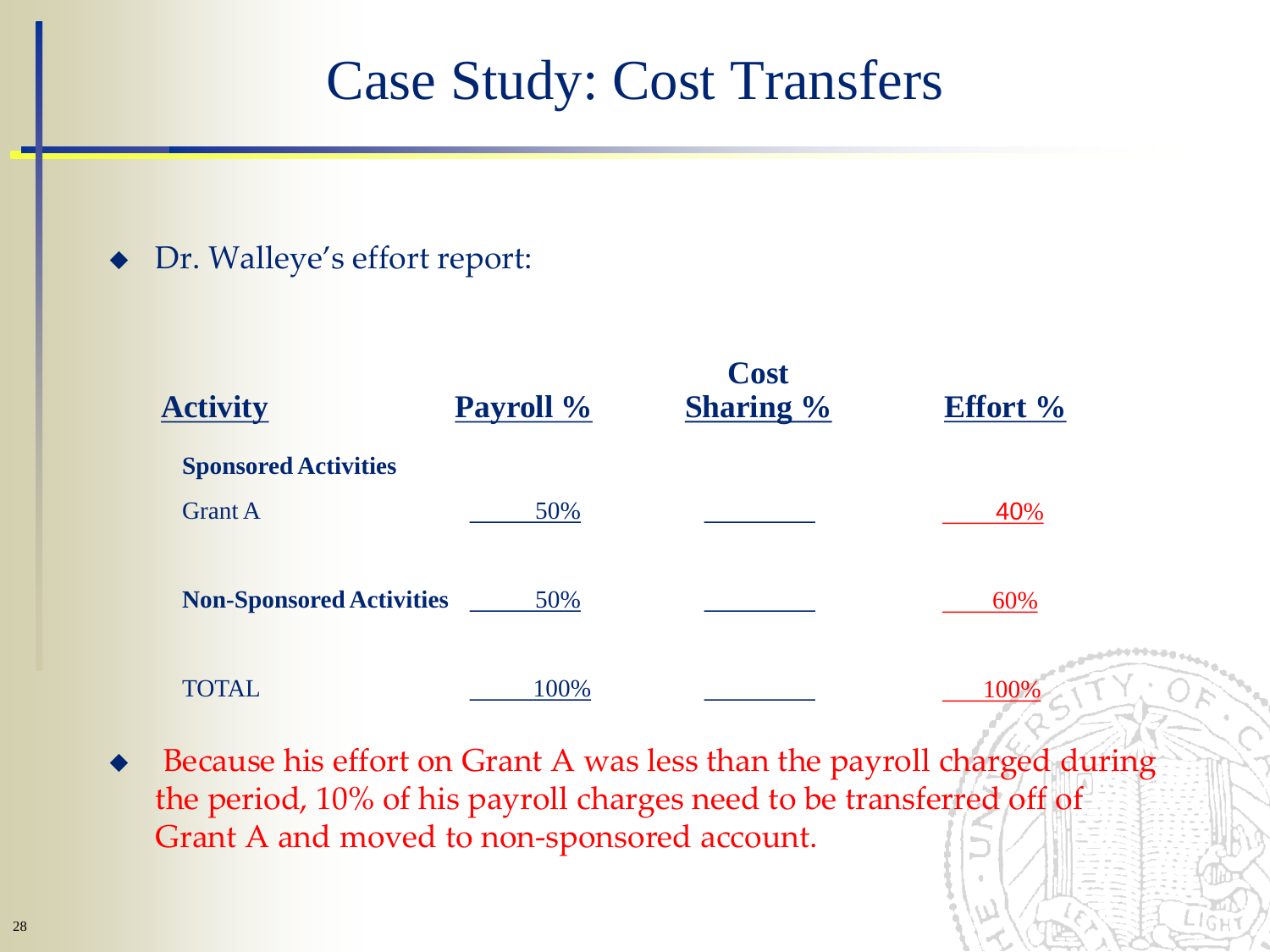#### Case Study: Cost Transfers

#### ◆ Dr. Walleye's effort report:

|                                 |           | <b>Cost</b>      |                 |
|---------------------------------|-----------|------------------|-----------------|
| <b>Activity</b>                 | Payroll % | <b>Sharing %</b> | <b>Effort %</b> |
| <b>Sponsored Activities</b>     |           |                  |                 |
| <b>Grant A</b>                  | 50%       |                  | 40%             |
| <b>Non-Sponsored Activities</b> | 50%       |                  | 60%             |
| <b>TOTAL</b>                    | 100%      |                  |                 |

 Because his effort on Grant A was less than the payroll charged during the period, 10% of his payroll charges need to be transferred off of Grant A and moved to non-sponsored account.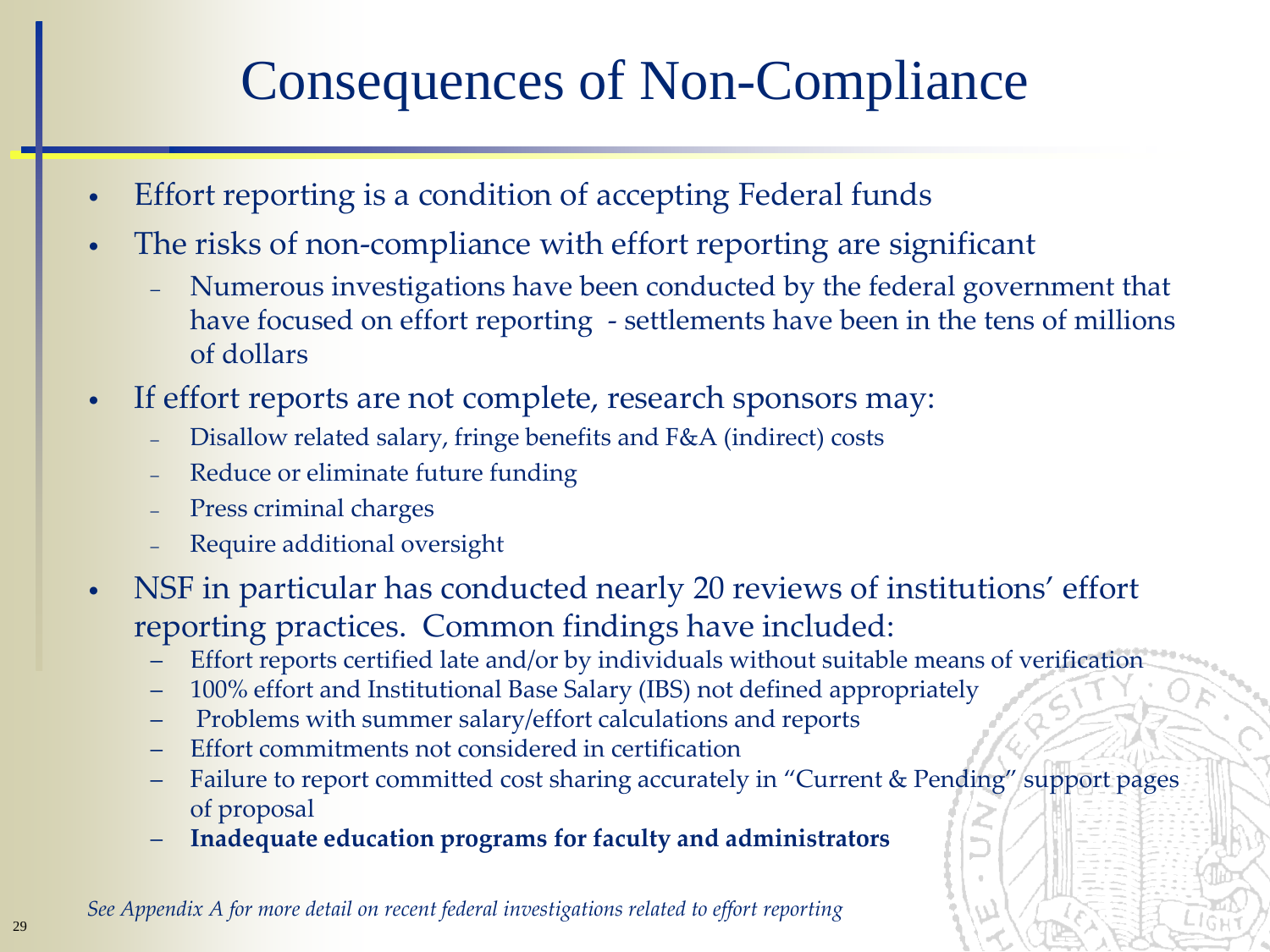## Consequences of Non-Compliance

- Effort reporting is a condition of accepting Federal funds
- The risks of non-compliance with effort reporting are significant
	- Numerous investigations have been conducted by the federal government that have focused on effort reporting - settlements have been in the tens of millions of dollars
- If effort reports are not complete, research sponsors may:
	- Disallow related salary, fringe benefits and F&A (indirect) costs
	- Reduce or eliminate future funding
	- Press criminal charges
	- Require additional oversight
- NSF in particular has conducted nearly 20 reviews of institutions' effort reporting practices. Common findings have included:
	- Effort reports certified late and/or by individuals without suitable means of verification
	- 100% effort and Institutional Base Salary (IBS) not defined appropriately
	- Problems with summer salary/effort calculations and reports
	- Effort commitments not considered in certification
	- Failure to report committed cost sharing accurately in "Current & Pending" support pages of proposal
	- **Inadequate education programs for faculty and administrators**

*See Appendix A for more detail on recent federal investigations related to effort reporting*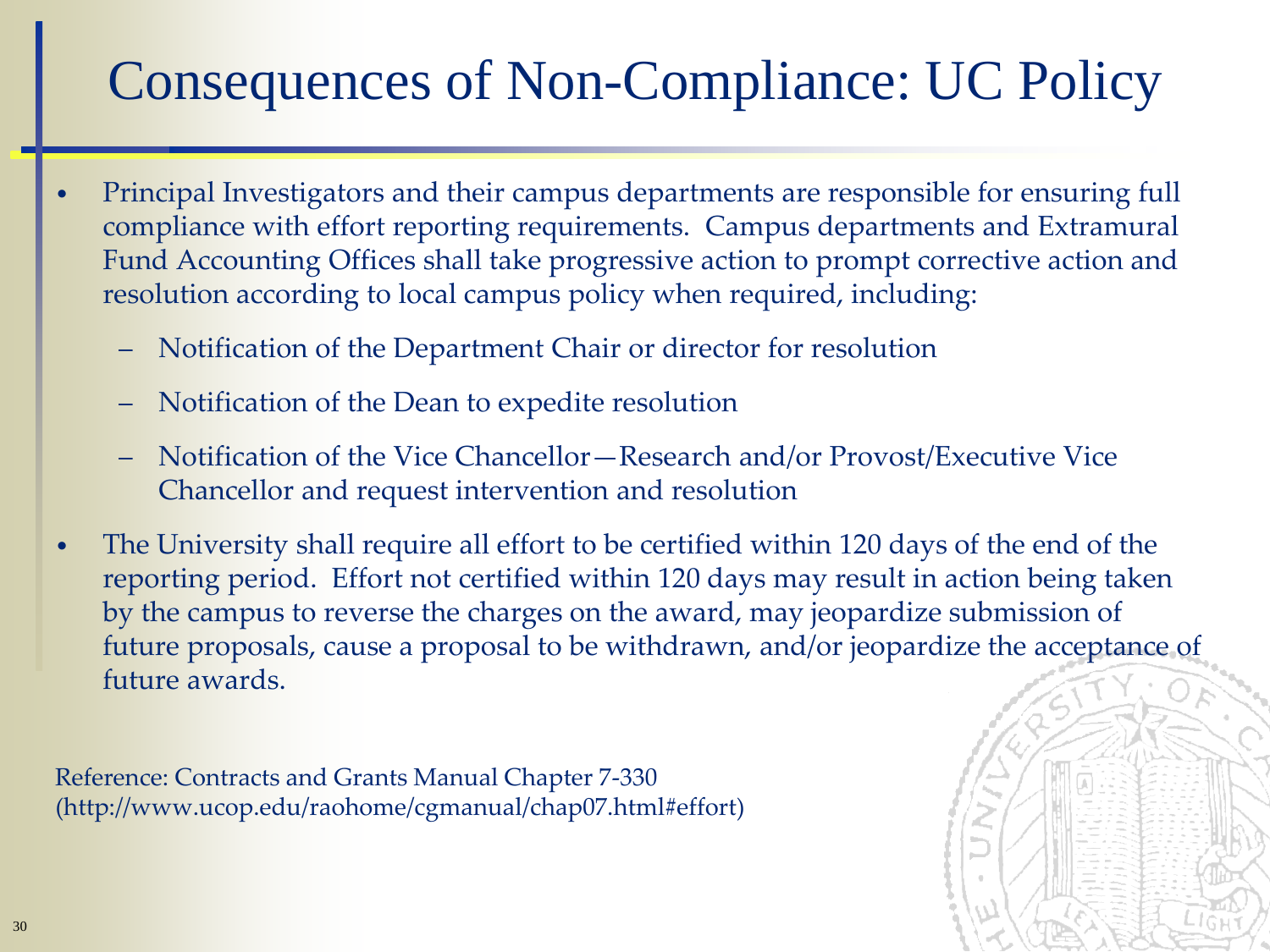## Consequences of Non-Compliance: UC Policy

- Principal Investigators and their campus departments are responsible for ensuring full compliance with effort reporting requirements. Campus departments and Extramural Fund Accounting Offices shall take progressive action to prompt corrective action and resolution according to local campus policy when required, including:
	- Notification of the Department Chair or director for resolution
	- Notification of the Dean to expedite resolution
	- Notification of the Vice Chancellor—Research and/or Provost/Executive Vice Chancellor and request intervention and resolution
- The University shall require all effort to be certified within 120 days of the end of the reporting period. Effort not certified within 120 days may result in action being taken by the campus to reverse the charges on the award, may jeopardize submission of future proposals, cause a proposal to be withdrawn, and/or jeopardize the acceptance of future awards.

Reference: Contracts and Grants Manual Chapter 7-330 (http://www.ucop.edu/raohome/cgmanual/chap07.html#effort)

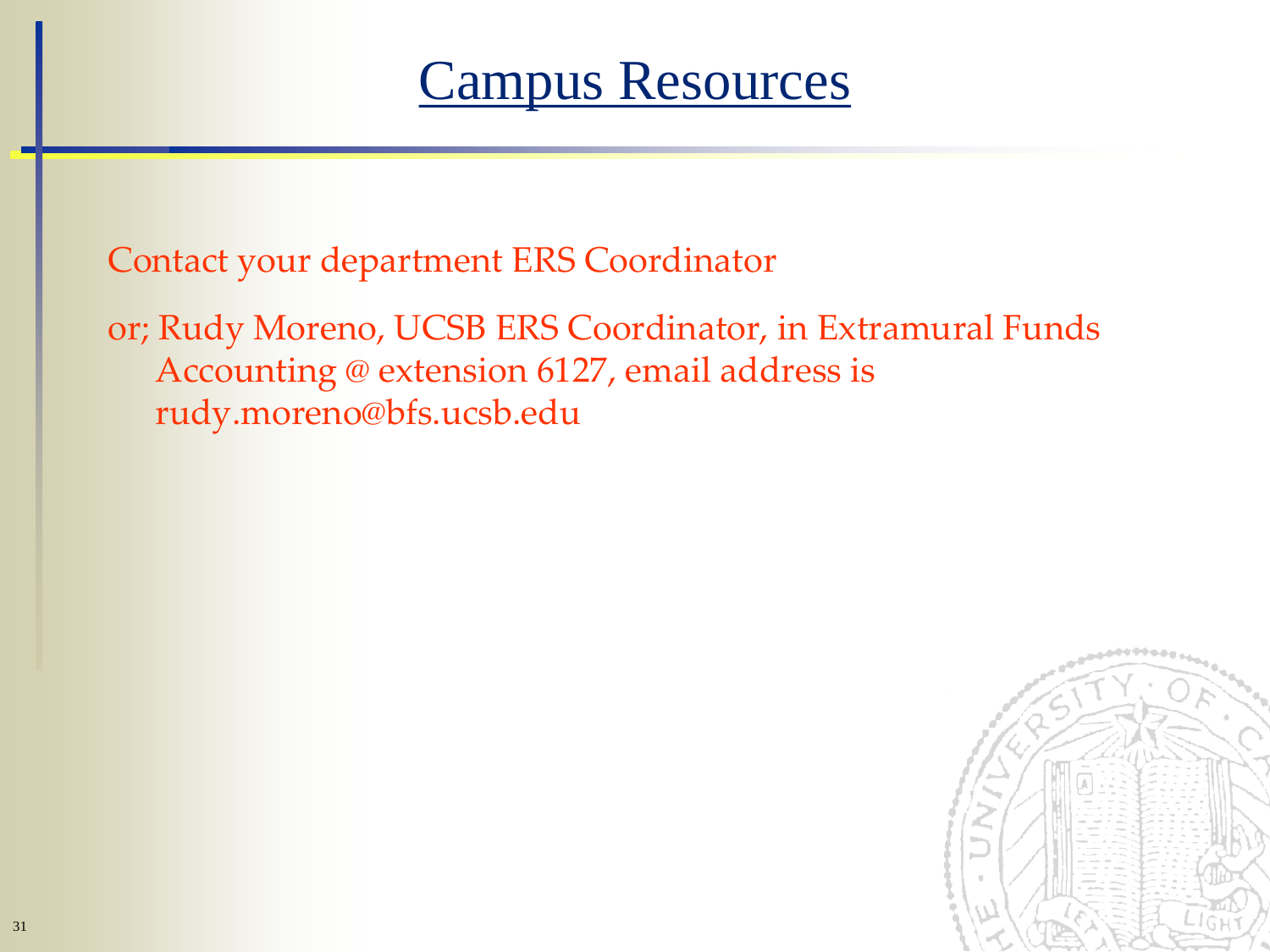#### Campus Resources

Contact your department ERS Coordinator

or; Rudy Moreno, UCSB ERS Coordinator, in Extramural Funds Accounting @ extension 6127, email address is rudy.moreno@bfs.ucsb.edu

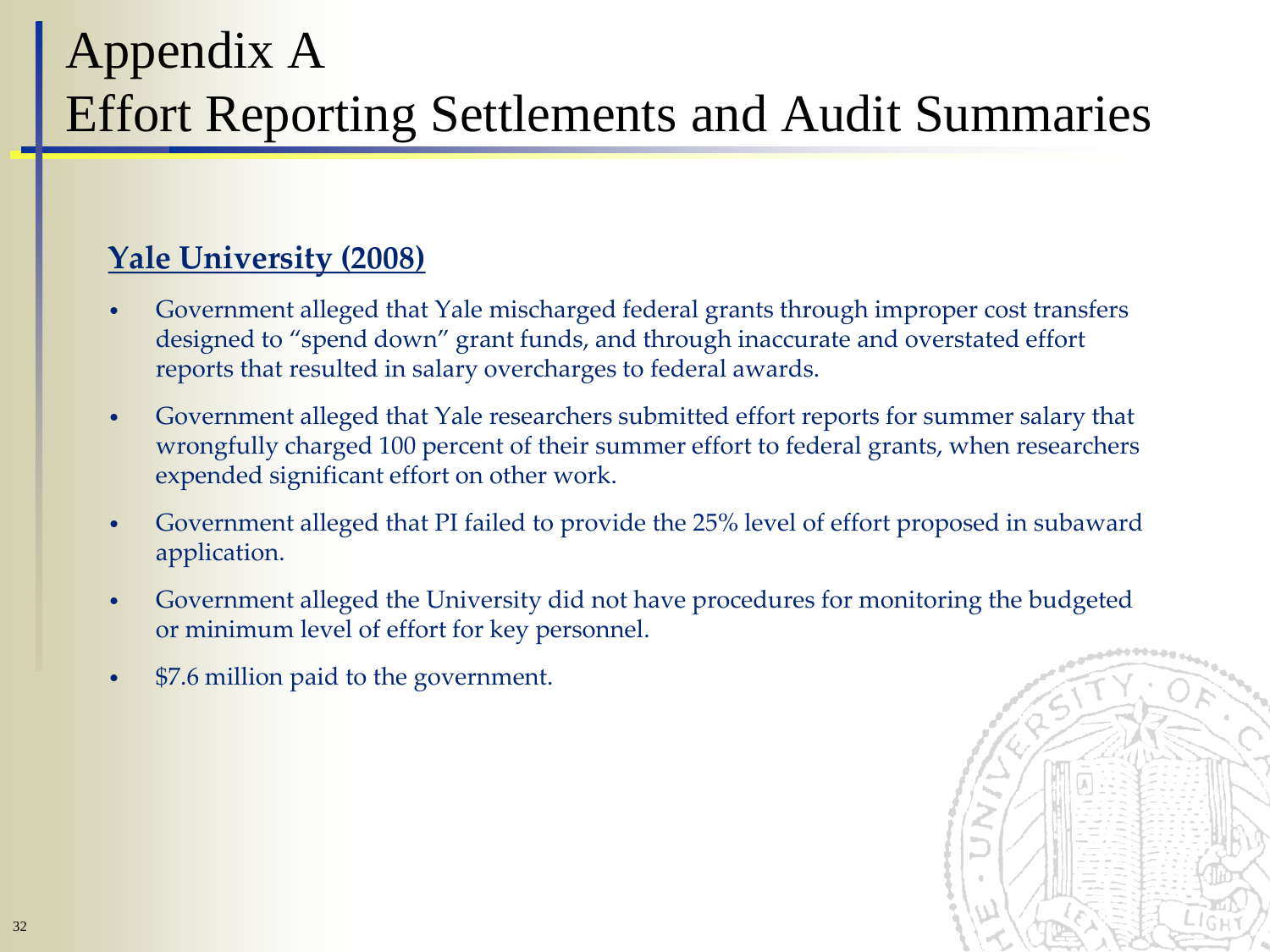#### Appendix A Effort Reporting Settlements and Audit Summaries

#### **Yale University (2008)**

- Government alleged that Yale mischarged federal grants through improper cost transfers designed to "spend down" grant funds, and through inaccurate and overstated effort reports that resulted in salary overcharges to federal awards.
- Government alleged that Yale researchers submitted effort reports for summer salary that wrongfully charged 100 percent of their summer effort to federal grants, when researchers expended significant effort on other work.
- Government alleged that PI failed to provide the 25% level of effort proposed in subaward application.
- Government alleged the University did not have procedures for monitoring the budgeted or minimum level of effort for key personnel.
- \$7.6 million paid to the government.

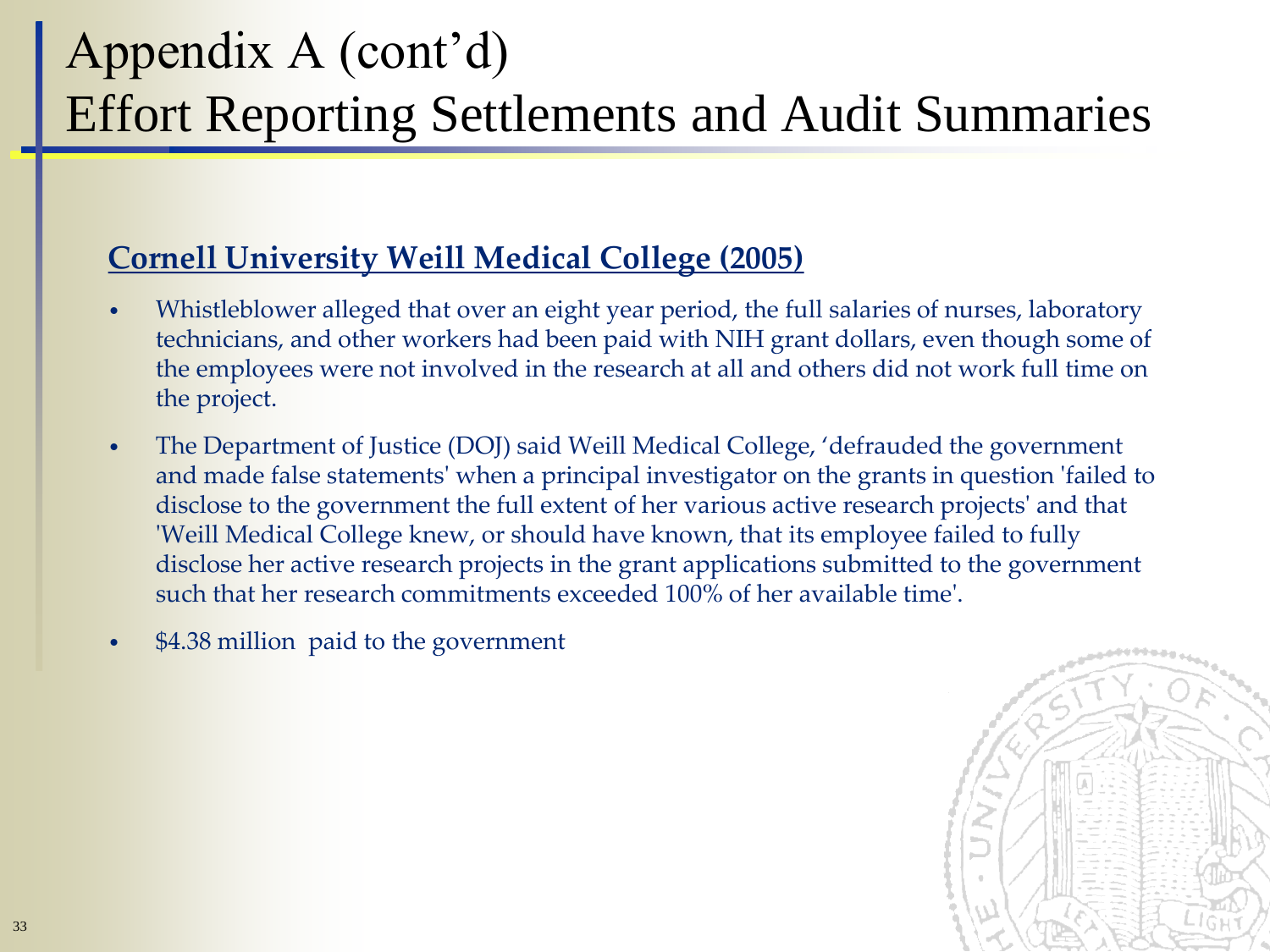## Appendix A (cont'd) Effort Reporting Settlements and Audit Summaries

#### **Cornell University Weill Medical College (2005)**

- Whistleblower alleged that over an eight year period, the full salaries of nurses, laboratory technicians, and other workers had been paid with NIH grant dollars, even though some of the employees were not involved in the research at all and others did not work full time on the project.
- The Department of Justice (DOJ) said Weill Medical College, 'defrauded the government and made false statements' when a principal investigator on the grants in question 'failed to disclose to the government the full extent of her various active research projects' and that 'Weill Medical College knew, or should have known, that its employee failed to fully disclose her active research projects in the grant applications submitted to the government such that her research commitments exceeded 100% of her available time'.
- \$4.38 million paid to the government

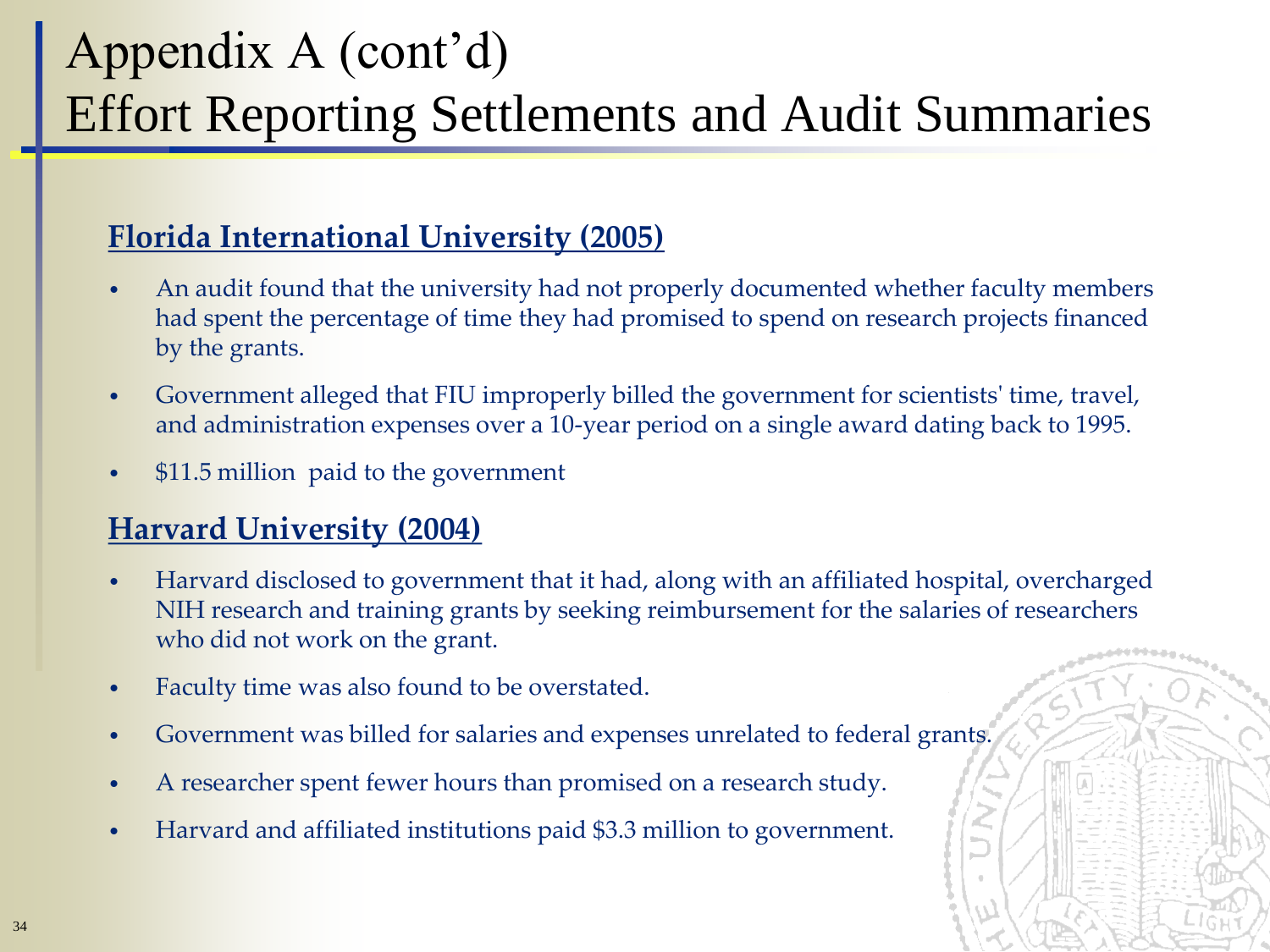## Appendix A (cont'd) Effort Reporting Settlements and Audit Summaries

#### **Florida International University (2005)**

- An audit found that the university had not properly documented whether faculty members had spent the percentage of time they had promised to spend on research projects financed by the grants.
- Government alleged that FIU improperly billed the government for scientists' time, travel, and administration expenses over a 10-year period on a single award dating back to 1995.
- \$11.5 million paid to the government

#### **Harvard University (2004)**

- Harvard disclosed to government that it had, along with an affiliated hospital, overcharged NIH research and training grants by seeking reimbursement for the salaries of researchers who did not work on the grant.
- Faculty time was also found to be overstated.
- Government was billed for salaries and expenses unrelated to federal grants.
- A researcher spent fewer hours than promised on a research study.
- Harvard and affiliated institutions paid \$3.3 million to government.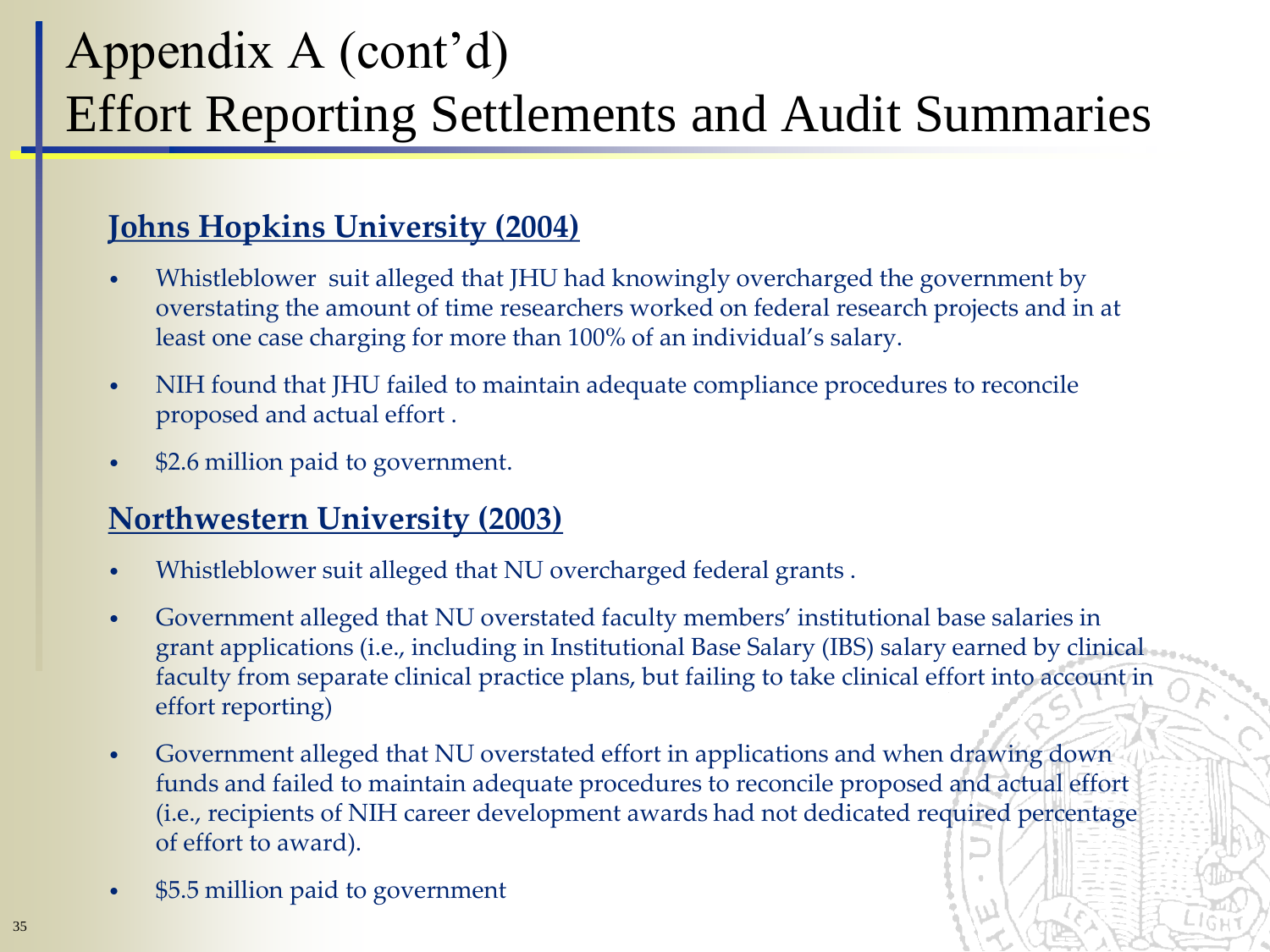## Appendix A (cont'd) Effort Reporting Settlements and Audit Summaries

#### **Johns Hopkins University (2004)**

- Whistleblower suit alleged that JHU had knowingly overcharged the government by overstating the amount of time researchers worked on federal research projects and in at least one case charging for more than 100% of an individual's salary.
- NIH found that JHU failed to maintain adequate compliance procedures to reconcile proposed and actual effort .
- \$2.6 million paid to government.

#### **Northwestern University (2003)**

- Whistleblower suit alleged that NU overcharged federal grants .
- Government alleged that NU overstated faculty members' institutional base salaries in grant applications (i.e., including in Institutional Base Salary (IBS) salary earned by clinical faculty from separate clinical practice plans, but failing to take clinical effort into account in effort reporting)
- Government alleged that NU overstated effort in applications and when drawing down funds and failed to maintain adequate procedures to reconcile proposed and actual effort (i.e., recipients of NIH career development awards had not dedicated required percentage of effort to award).
- \$5.5 million paid to government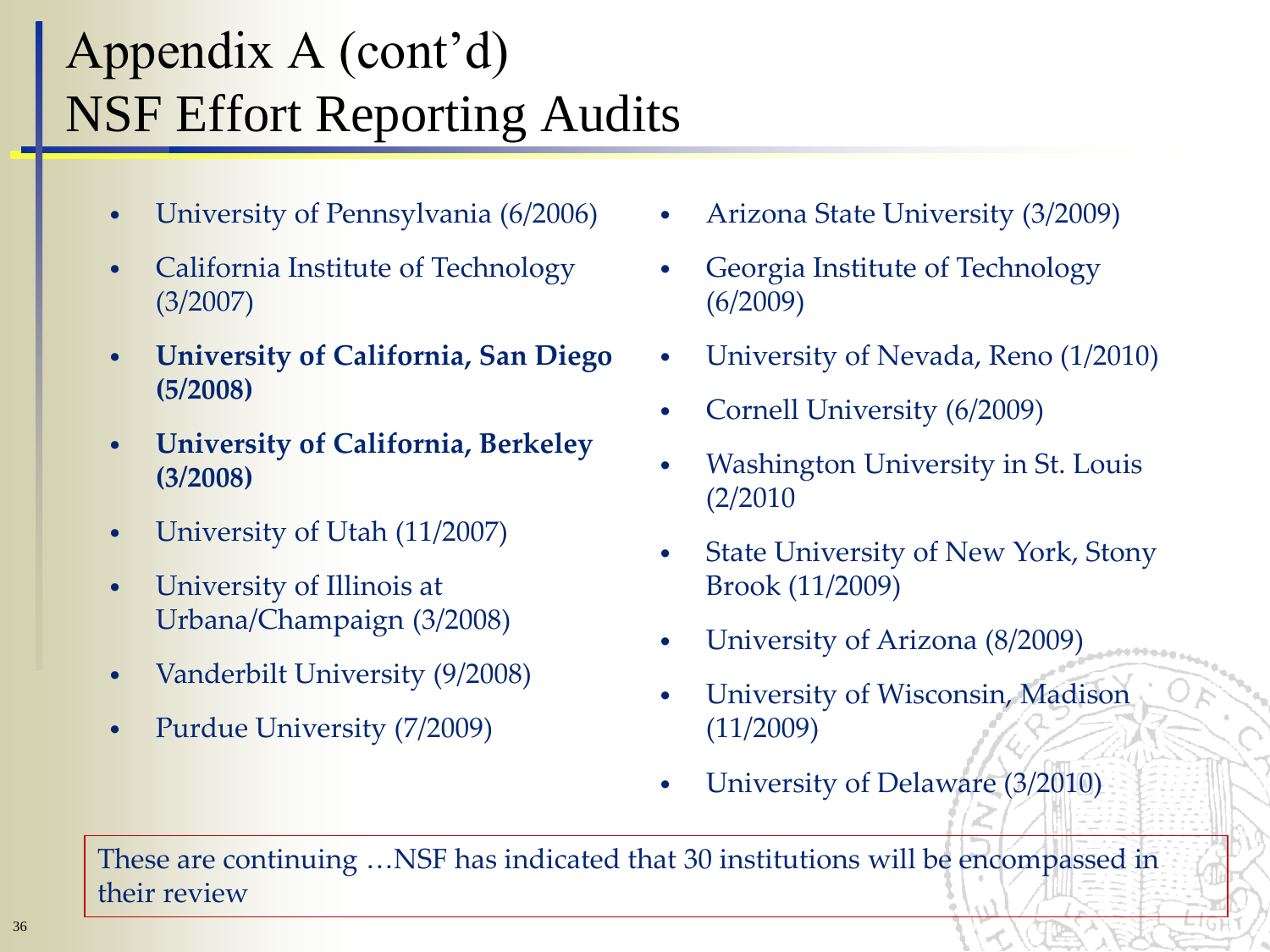## Appendix A (cont'd) NSF Effort Reporting Audits

- University of Pennsylvania (6/2006)
- California Institute of Technology (3/2007)
- **University of California, San Diego (5/2008)**
- **University of California, Berkeley (3/2008)**
- University of Utah (11/2007)
- University of Illinois at Urbana/Champaign (3/2008)
- Vanderbilt University (9/2008)
- Purdue University (7/2009)
- Arizona State University (3/2009)
- Georgia Institute of Technology (6/2009)
- University of Nevada, Reno (1/2010)
- Cornell University (6/2009)
- Washington University in St. Louis (2/2010
- State University of New York, Stony Brook (11/2009)
- University of Arizona (8/2009)
- University of Wisconsin, Madison (11/2009)
- University of Delaware (3/2010)

These are continuing …NSF has indicated that 30 institutions will be encompassed in their review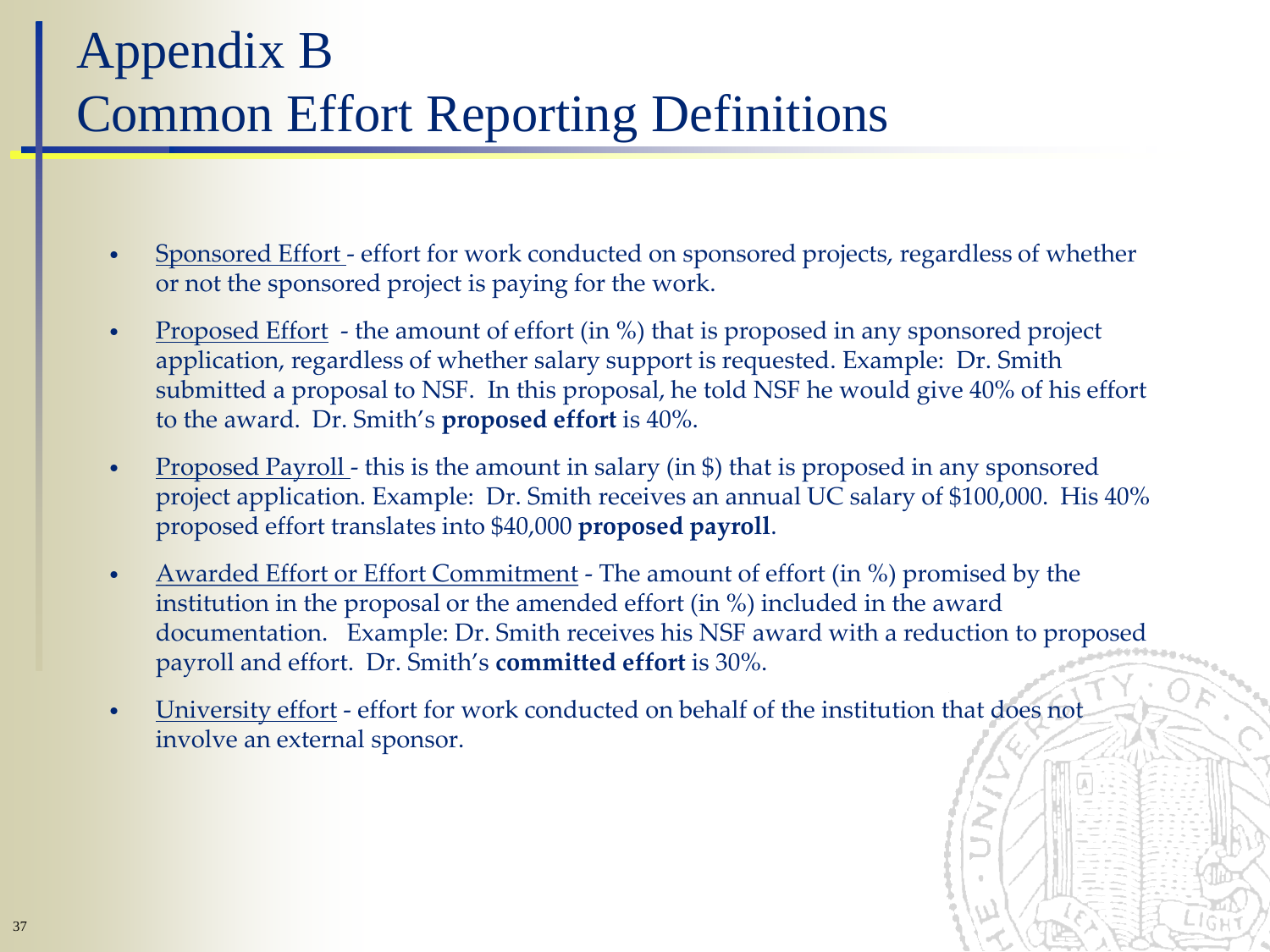### Appendix B Common Effort Reporting Definitions

- Sponsored Effort effort for work conducted on sponsored projects, regardless of whether or not the sponsored project is paying for the work.
- Proposed Effort the amount of effort (in %) that is proposed in any sponsored project application, regardless of whether salary support is requested. Example: Dr. Smith submitted a proposal to NSF. In this proposal, he told NSF he would give 40% of his effort to the award. Dr. Smith's **proposed effort** is 40%.
- Proposed Payroll this is the amount in salary (in \$) that is proposed in any sponsored project application. Example: Dr. Smith receives an annual UC salary of \$100,000. His 40% proposed effort translates into \$40,000 **proposed payroll**.
- Awarded Effort or Effort Commitment The amount of effort (in %) promised by the institution in the proposal or the amended effort (in %) included in the award documentation. Example: Dr. Smith receives his NSF award with a reduction to proposed payroll and effort. Dr. Smith's **committed effort** is 30%.
- University effort effort for work conducted on behalf of the institution that does not involve an external sponsor.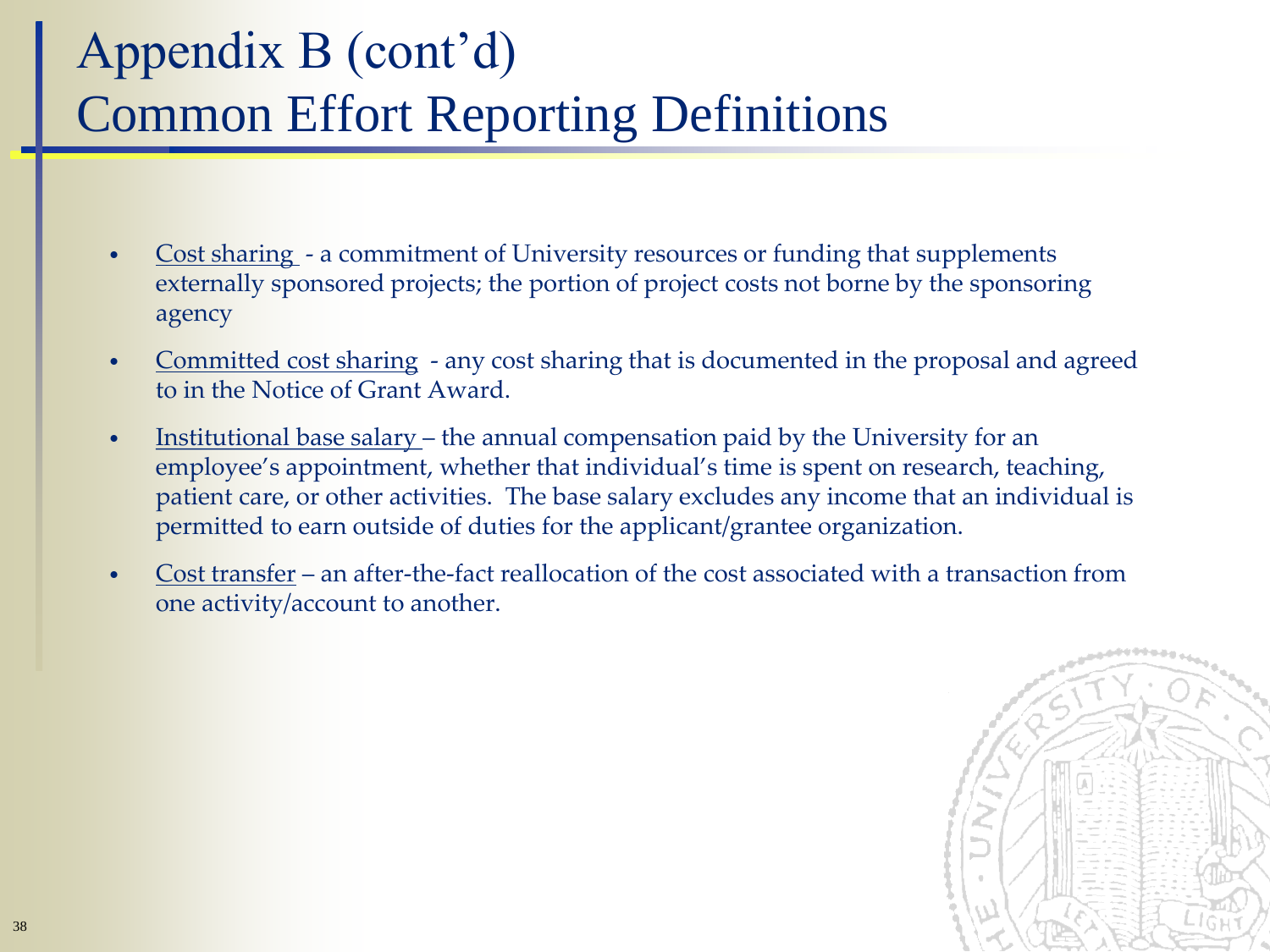## Appendix B (cont'd) Common Effort Reporting Definitions

- Cost sharing a commitment of University resources or funding that supplements externally sponsored projects; the portion of project costs not borne by the sponsoring agency
- Committed cost sharing any cost sharing that is documented in the proposal and agreed to in the Notice of Grant Award.
- Institutional base salary the annual compensation paid by the University for an employee's appointment, whether that individual's time is spent on research, teaching, patient care, or other activities. The base salary excludes any income that an individual is permitted to earn outside of duties for the applicant/grantee organization.
- Cost transfer an after-the-fact reallocation of the cost associated with a transaction from one activity/account to another.

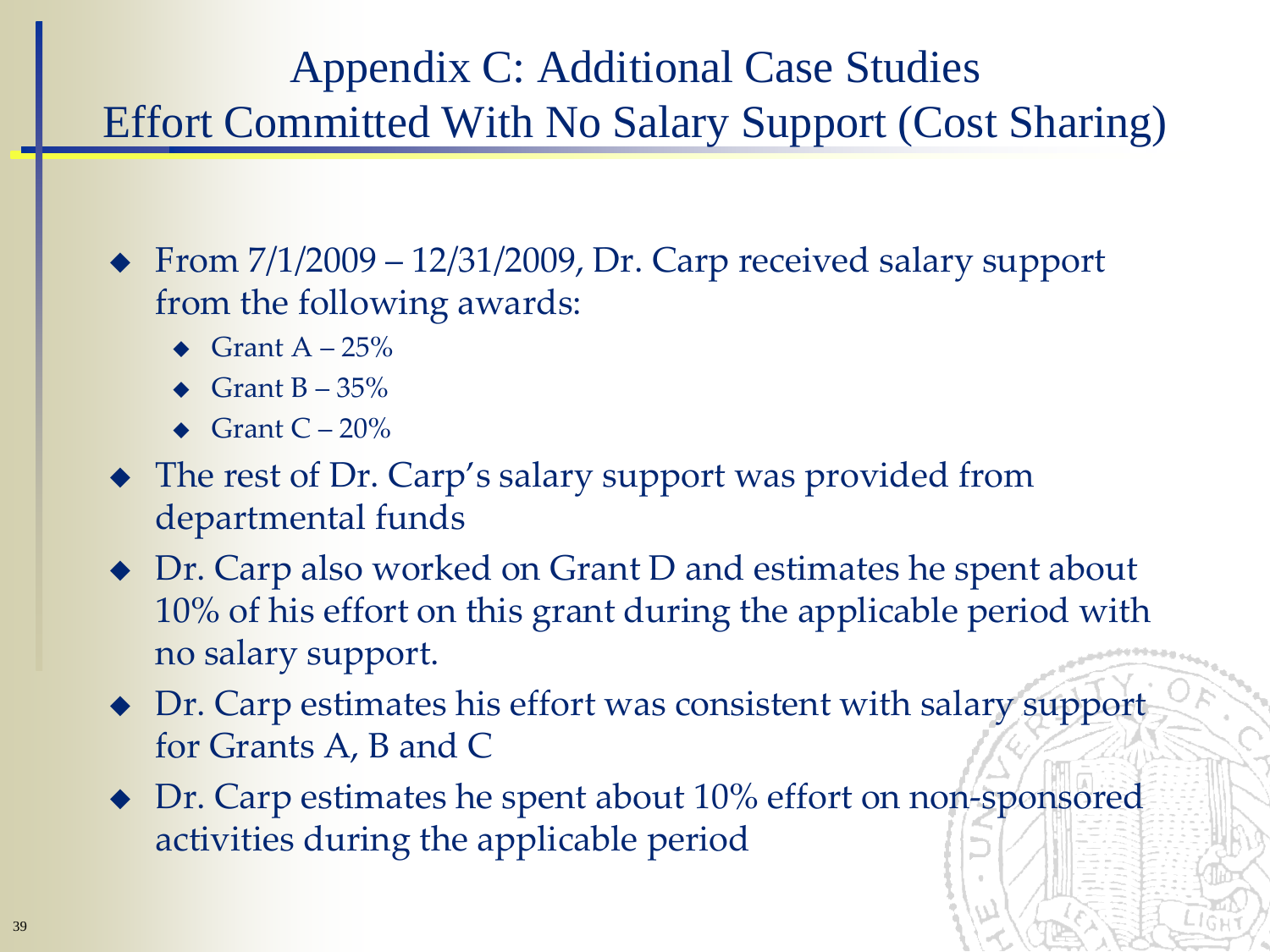#### Appendix C: Additional Case Studies Effort Committed With No Salary Support (Cost Sharing)

From  $7/1/2009 - 12/31/2009$ , Dr. Carp received salary support from the following awards:

- $\triangleleft$  Grant A 25%
- Grant  $B 35%$
- Grant  $C 20\%$
- The rest of Dr. Carp's salary support was provided from departmental funds
- ◆ Dr. Carp also worked on Grant D and estimates he spent about 10% of his effort on this grant during the applicable period with no salary support.
- Dr. Carp estimates his effort was consistent with salary support for Grants A, B and C
- ◆ Dr. Carp estimates he spent about 10% effort on non-sponsored activities during the applicable period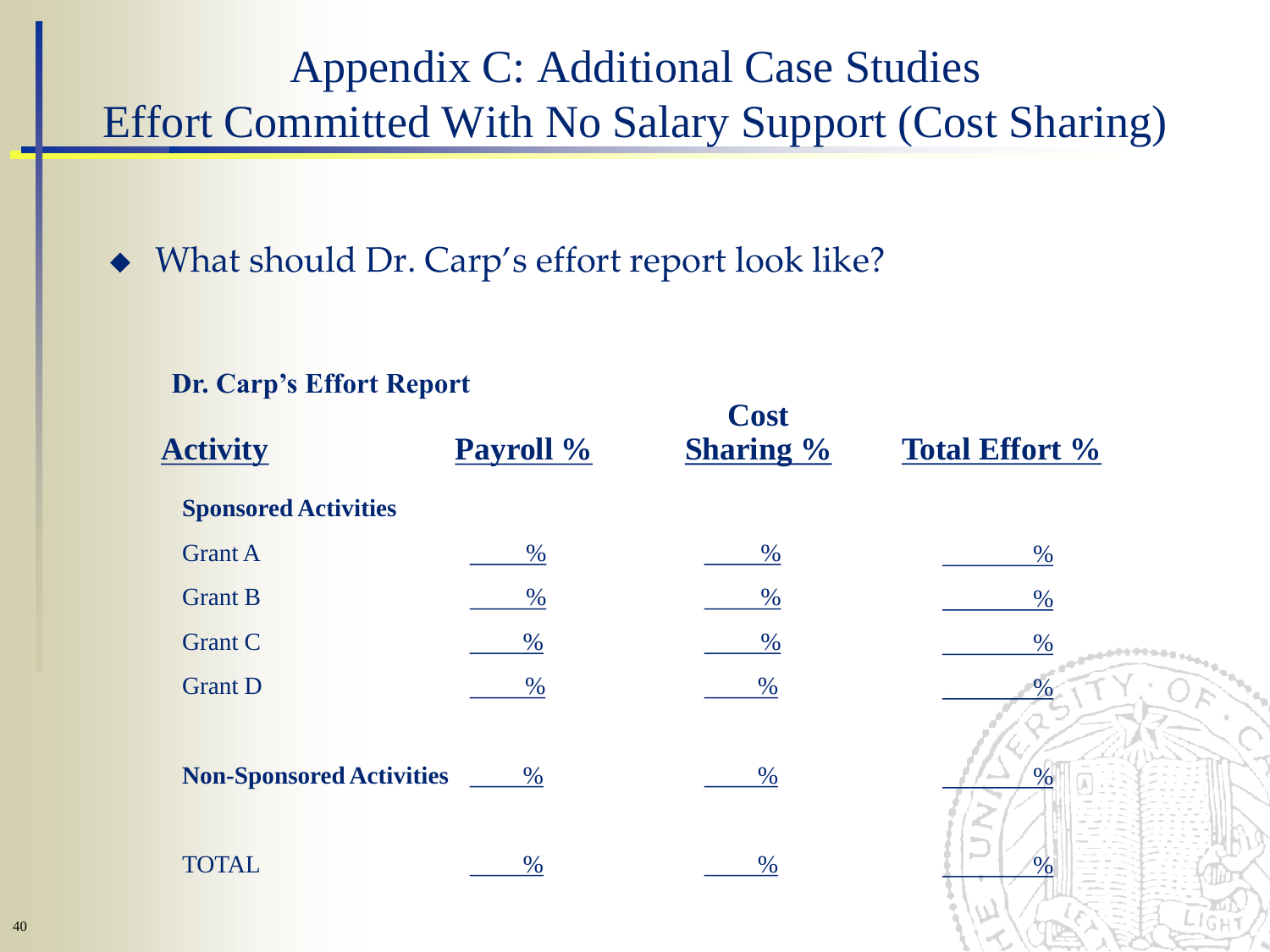#### Appendix C: Additional Case Studies Effort Committed With No Salary Support (Cost Sharing)

What should Dr. Carp's effort report look like?

**Dr. Carp's Effort Report**

| DI. Carp S Eliott Report        |           |                                 |                          |
|---------------------------------|-----------|---------------------------------|--------------------------|
| <b>Activity</b>                 | Payroll % | <b>Cost</b><br><b>Sharing %</b> | <b>Total Effort %</b>    |
| <b>Sponsored Activities</b>     |           |                                 |                          |
| <b>Grant A</b>                  | $\%$      | $\%$                            | $\%$                     |
| <b>Grant B</b>                  | $\%$      | $\%$                            | $\%$                     |
| <b>Grant C</b>                  | $\%$      | $\%$                            | $\%$                     |
| <b>Grant D</b>                  | $\%$      | $\%$                            |                          |
| <b>Non-Sponsored Activities</b> | $\%$      | $\%$                            | $\%$                     |
| <b>TOTAL</b>                    | $\%$      | $\%$                            | <b>Service</b><br>$\sim$ |